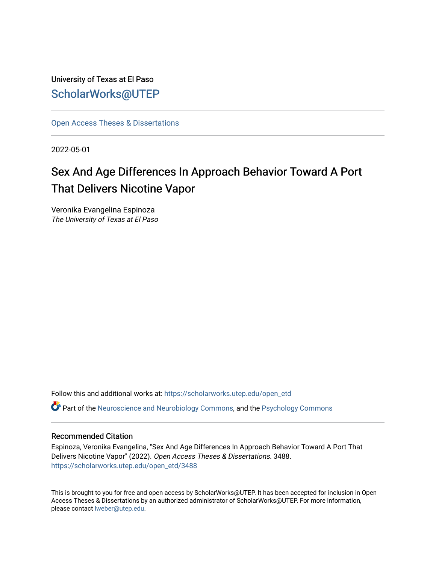University of Texas at El Paso [ScholarWorks@UTEP](https://scholarworks.utep.edu/)

[Open Access Theses & Dissertations](https://scholarworks.utep.edu/open_etd) 

2022-05-01

# Sex And Age Differences In Approach Behavior Toward A Port That Delivers Nicotine Vapor

Veronika Evangelina Espinoza The University of Texas at El Paso

Follow this and additional works at: [https://scholarworks.utep.edu/open\\_etd](https://scholarworks.utep.edu/open_etd?utm_source=scholarworks.utep.edu%2Fopen_etd%2F3488&utm_medium=PDF&utm_campaign=PDFCoverPages)

Part of the [Neuroscience and Neurobiology Commons,](https://network.bepress.com/hgg/discipline/55?utm_source=scholarworks.utep.edu%2Fopen_etd%2F3488&utm_medium=PDF&utm_campaign=PDFCoverPages) and the [Psychology Commons](https://network.bepress.com/hgg/discipline/404?utm_source=scholarworks.utep.edu%2Fopen_etd%2F3488&utm_medium=PDF&utm_campaign=PDFCoverPages)

# Recommended Citation

Espinoza, Veronika Evangelina, "Sex And Age Differences In Approach Behavior Toward A Port That Delivers Nicotine Vapor" (2022). Open Access Theses & Dissertations. 3488. [https://scholarworks.utep.edu/open\\_etd/3488](https://scholarworks.utep.edu/open_etd/3488?utm_source=scholarworks.utep.edu%2Fopen_etd%2F3488&utm_medium=PDF&utm_campaign=PDFCoverPages) 

This is brought to you for free and open access by ScholarWorks@UTEP. It has been accepted for inclusion in Open Access Theses & Dissertations by an authorized administrator of ScholarWorks@UTEP. For more information, please contact [lweber@utep.edu.](mailto:lweber@utep.edu)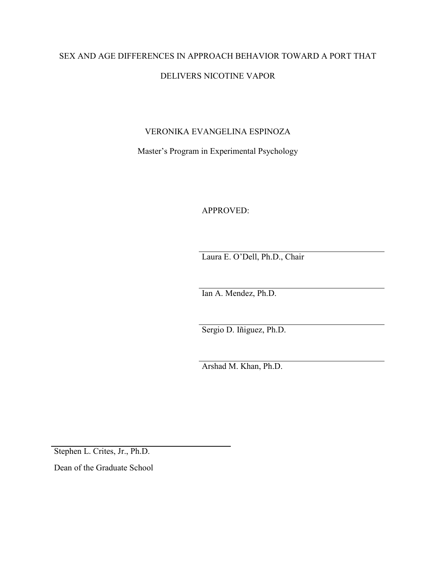# SEX AND AGE DIFFERENCES IN APPROACH BEHAVIOR TOWARD A PORT THAT DELIVERS NICOTINE VAPOR

# VERONIKA EVANGELINA ESPINOZA

Master's Program in Experimental Psychology

APPROVED:

Laura E. O'Dell, Ph.D., Chair

Ian A. Mendez, Ph.D.

Sergio D. Iñiguez, Ph.D.

Arshad M. Khan, Ph.D.

Stephen L. Crites, Jr., Ph.D.

Dean of the Graduate School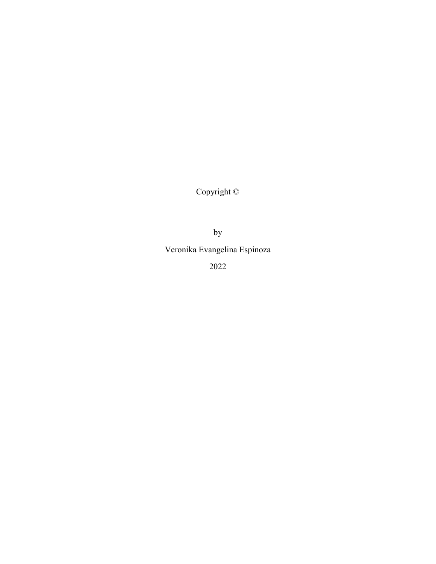Copyright ©

by

Veronika Evangelina Espinoza

2022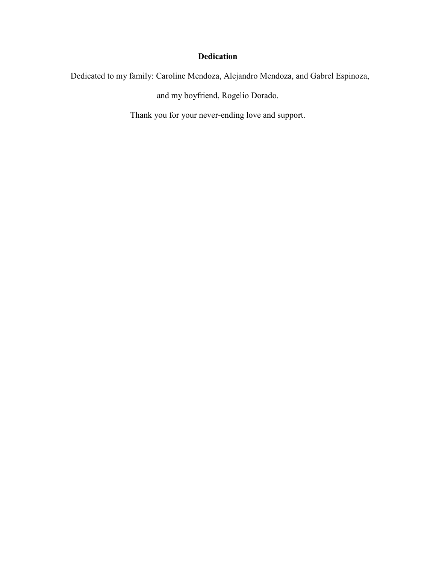# **Dedication**

Dedicated to my family: Caroline Mendoza, Alejandro Mendoza, and Gabrel Espinoza,

and my boyfriend, Rogelio Dorado.

Thank you for your never-ending love and support.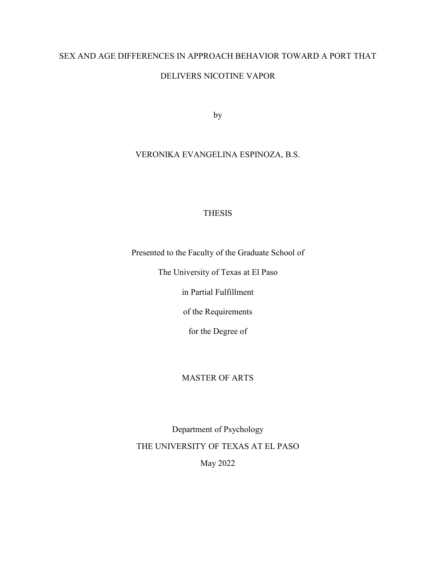# SEX AND AGE DIFFERENCES IN APPROACH BEHAVIOR TOWARD A PORT THAT

# DELIVERS NICOTINE VAPOR

by

# VERONIKA EVANGELINA ESPINOZA, B.S.

# THESIS

Presented to the Faculty of the Graduate School of

The University of Texas at El Paso

in Partial Fulfillment

of the Requirements

for the Degree of

# MASTER OF ARTS

Department of Psychology THE UNIVERSITY OF TEXAS AT EL PASO May 2022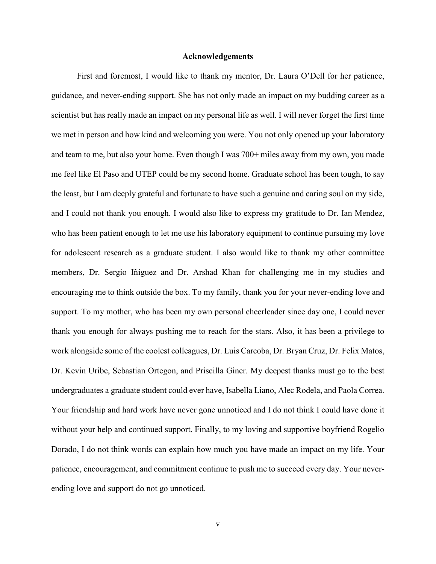# **Acknowledgements**

First and foremost, I would like to thank my mentor, Dr. Laura O'Dell for her patience, guidance, and never-ending support. She has not only made an impact on my budding career as a scientist but has really made an impact on my personal life as well. I will never forget the first time we met in person and how kind and welcoming you were. You not only opened up your laboratory and team to me, but also your home. Even though I was 700+ miles away from my own, you made me feel like El Paso and UTEP could be my second home. Graduate school has been tough, to say the least, but I am deeply grateful and fortunate to have such a genuine and caring soul on my side, and I could not thank you enough. I would also like to express my gratitude to Dr. Ian Mendez, who has been patient enough to let me use his laboratory equipment to continue pursuing my love for adolescent research as a graduate student. I also would like to thank my other committee members, Dr. Sergio Iñiguez and Dr. Arshad Khan for challenging me in my studies and encouraging me to think outside the box. To my family, thank you for your never-ending love and support. To my mother, who has been my own personal cheerleader since day one, I could never thank you enough for always pushing me to reach for the stars. Also, it has been a privilege to work alongside some of the coolest colleagues, Dr. Luis Carcoba, Dr. Bryan Cruz, Dr. Felix Matos, Dr. Kevin Uribe, Sebastian Ortegon, and Priscilla Giner. My deepest thanks must go to the best undergraduates a graduate student could ever have, Isabella Liano, Alec Rodela, and Paola Correa. Your friendship and hard work have never gone unnoticed and I do not think I could have done it without your help and continued support. Finally, to my loving and supportive boyfriend Rogelio Dorado, I do not think words can explain how much you have made an impact on my life. Your patience, encouragement, and commitment continue to push me to succeed every day. Your neverending love and support do not go unnoticed.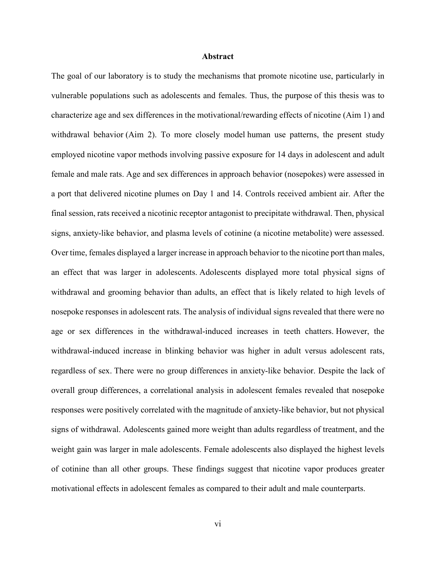## **Abstract**

The goal of our laboratory is to study the mechanisms that promote nicotine use, particularly in vulnerable populations such as adolescents and females. Thus, the purpose of this thesis was to characterize age and sex differences in the motivational/rewarding effects of nicotine (Aim 1) and withdrawal behavior (Aim 2). To more closely model human use patterns, the present study employed nicotine vapor methods involving passive exposure for 14 days in adolescent and adult female and male rats. Age and sex differences in approach behavior (nosepokes) were assessed in a port that delivered nicotine plumes on Day 1 and 14. Controls received ambient air. After the final session, rats received a nicotinic receptor antagonist to precipitate withdrawal. Then, physical signs, anxiety-like behavior, and plasma levels of cotinine (a nicotine metabolite) were assessed. Over time, females displayed a larger increase in approach behavior to the nicotine port than males, an effect that was larger in adolescents. Adolescents displayed more total physical signs of withdrawal and grooming behavior than adults, an effect that is likely related to high levels of nosepoke responses in adolescent rats. The analysis of individual signs revealed that there were no age or sex differences in the withdrawal-induced increases in teeth chatters. However, the withdrawal-induced increase in blinking behavior was higher in adult versus adolescent rats, regardless of sex. There were no group differences in anxiety-like behavior. Despite the lack of overall group differences, a correlational analysis in adolescent females revealed that nosepoke responses were positively correlated with the magnitude of anxiety-like behavior, but not physical signs of withdrawal. Adolescents gained more weight than adults regardless of treatment, and the weight gain was larger in male adolescents. Female adolescents also displayed the highest levels of cotinine than all other groups. These findings suggest that nicotine vapor produces greater motivational effects in adolescent females as compared to their adult and male counterparts.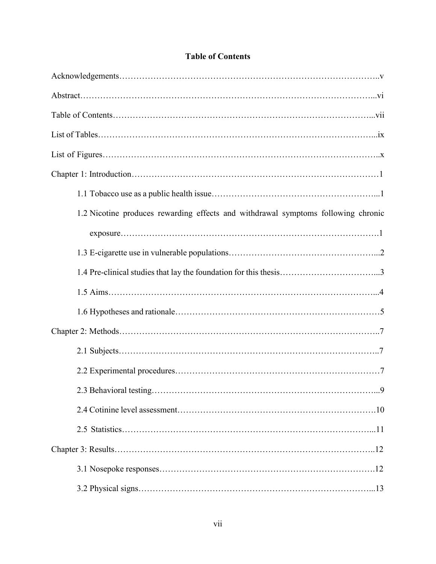| 1.2 Nicotine produces rewarding effects and withdrawal symptoms following chronic |
|-----------------------------------------------------------------------------------|
|                                                                                   |
|                                                                                   |
|                                                                                   |
|                                                                                   |
|                                                                                   |
|                                                                                   |
|                                                                                   |
|                                                                                   |
|                                                                                   |
|                                                                                   |
|                                                                                   |
|                                                                                   |
|                                                                                   |
|                                                                                   |

# **Table of Contents**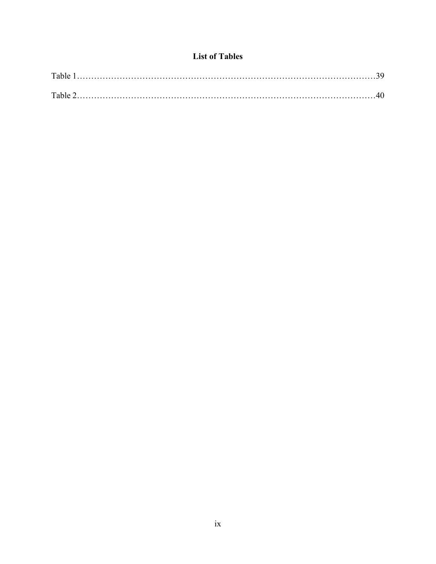# **List of Tables**

| Table |  |
|-------|--|
| Table |  |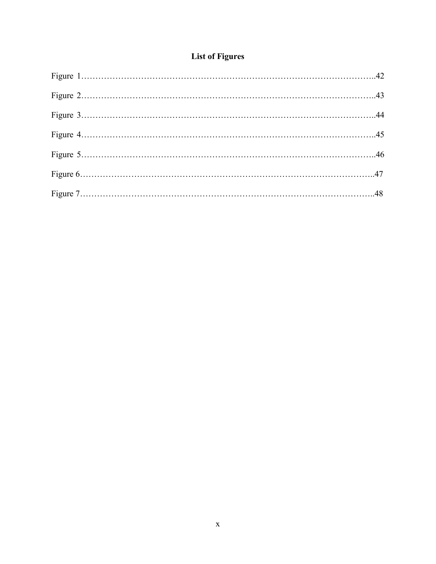# **List of Figures**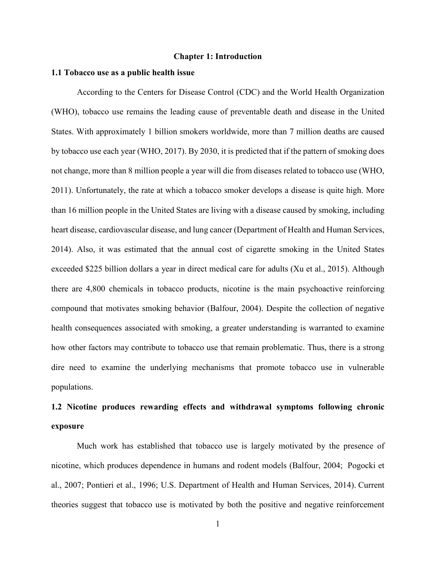#### **Chapter 1: Introduction**

### **1.1 Tobacco use as a public health issue**

According to the Centers for Disease Control (CDC) and the World Health Organization (WHO), tobacco use remains the leading cause of preventable death and disease in the United States. With approximately 1 billion smokers worldwide, more than 7 million deaths are caused by tobacco use each year (WHO, 2017). By 2030, it is predicted that if the pattern of smoking does not change, more than 8 million people a year will die from diseases related to tobacco use (WHO, 2011). Unfortunately, the rate at which a tobacco smoker develops a disease is quite high. More than 16 million people in the United States are living with a disease caused by smoking, including heart disease, cardiovascular disease, and lung cancer (Department of Health and Human Services, 2014). Also, it was estimated that the annual cost of cigarette smoking in the United States exceeded \$225 billion dollars a year in direct medical care for adults (Xu et al., 2015). Although there are 4,800 chemicals in tobacco products, nicotine is the main psychoactive reinforcing compound that motivates smoking behavior (Balfour, 2004). Despite the collection of negative health consequences associated with smoking, a greater understanding is warranted to examine how other factors may contribute to tobacco use that remain problematic. Thus, there is a strong dire need to examine the underlying mechanisms that promote tobacco use in vulnerable populations.

# **1.2 Nicotine produces rewarding effects and withdrawal symptoms following chronic exposure**

Much work has established that tobacco use is largely motivated by the presence of nicotine, which produces dependence in humans and rodent models (Balfour, 2004; Pogocki et al., 2007; Pontieri et al., 1996; U.S. Department of Health and Human Services, 2014). Current theories suggest that tobacco use is motivated by both the positive and negative reinforcement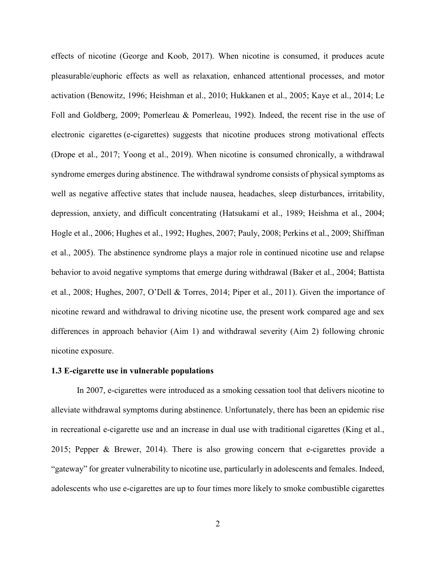effects of nicotine (George and Koob, 2017). When nicotine is consumed, it produces acute pleasurable/euphoric effects as well as relaxation, enhanced attentional processes, and motor activation (Benowitz, 1996; Heishman et al., 2010; Hukkanen et al., 2005; Kaye et al., 2014; Le Foll and Goldberg, 2009; Pomerleau & Pomerleau, 1992). Indeed, the recent rise in the use of electronic cigarettes (e-cigarettes) suggests that nicotine produces strong motivational effects (Drope et al., 2017; Yoong et al., 2019). When nicotine is consumed chronically, a withdrawal syndrome emerges during abstinence. The withdrawal syndrome consists of physical symptoms as well as negative affective states that include nausea, headaches, sleep disturbances, irritability, depression, anxiety, and difficult concentrating (Hatsukami et al., 1989; Heishma et al., 2004; Hogle et al., 2006; Hughes et al., 1992; Hughes, 2007; Pauly, 2008; Perkins et al., 2009; Shiffman et al., 2005). The abstinence syndrome plays a major role in continued nicotine use and relapse behavior to avoid negative symptoms that emerge during withdrawal (Baker et al., 2004; Battista et al., 2008; Hughes, 2007, O'Dell & Torres, 2014; Piper et al., 2011). Given the importance of nicotine reward and withdrawal to driving nicotine use, the present work compared age and sex differences in approach behavior (Aim 1) and withdrawal severity (Aim 2) following chronic nicotine exposure.

#### **1.3 E-cigarette use in vulnerable populations**

In 2007, e-cigarettes were introduced as a smoking cessation tool that delivers nicotine to alleviate withdrawal symptoms during abstinence. Unfortunately, there has been an epidemic rise in recreational e-cigarette use and an increase in dual use with traditional cigarettes (King et al., 2015; Pepper & Brewer, 2014). There is also growing concern that e-cigarettes provide a "gateway" for greater vulnerability to nicotine use, particularly in adolescents and females. Indeed, adolescents who use e-cigarettes are up to four times more likely to smoke combustible cigarettes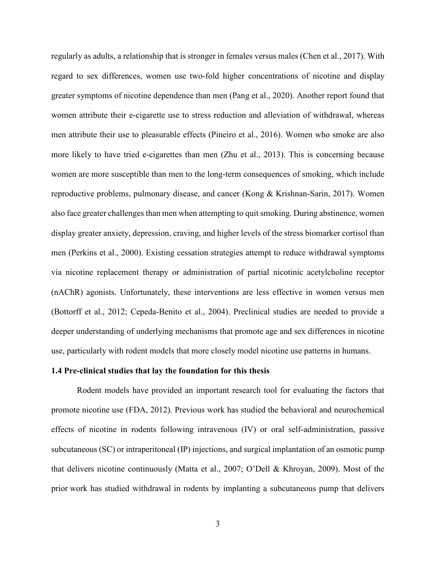regularly as adults, a relationship that is stronger in females versus males (Chen et al., 2017). With regard to sex differences, women use two-fold higher concentrations of nicotine and display greater symptoms of nicotine dependence than men (Pang et al., 2020). Another report found that women attribute their e-cigarette use to stress reduction and alleviation of withdrawal, whereas men attribute their use to pleasurable effects (Pineiro et al., 2016). Women who smoke are also more likely to have tried e-cigarettes than men (Zhu et al., 2013). This is concerning because women are more susceptible than men to the long-term consequences of smoking, which include reproductive problems, pulmonary disease, and cancer (Kong & Krishnan-Sarin, 2017). Women also face greater challenges than men when attempting to quit smoking. During abstinence, women display greater anxiety, depression, craving, and higher levels of the stress biomarker cortisol than men (Perkins et al., 2000). Existing cessation strategies attempt to reduce withdrawal symptoms via nicotine replacement therapy or administration of partial nicotinic acetylcholine receptor (nAChR) agonists. Unfortunately, these interventions are less effective in women versus men (Bottorff et al., 2012; Cepeda-Benito et al., 2004). Preclinical studies are needed to provide a deeper understanding of underlying mechanisms that promote age and sex differences in nicotine use, particularly with rodent models that more closely model nicotine use patterns in humans.

#### **1.4 Pre-clinical studies that lay the foundation for this thesis**

Rodent models have provided an important research tool for evaluating the factors that promote nicotine use (FDA, 2012). Previous work has studied the behavioral and neurochemical effects of nicotine in rodents following intravenous (IV) or oral self-administration, passive subcutaneous (SC) or intraperitoneal (IP) injections, and surgical implantation of an osmotic pump that delivers nicotine continuously (Matta et al., 2007; O'Dell & Khroyan, 2009). Most of the prior work has studied withdrawal in rodents by implanting a subcutaneous pump that delivers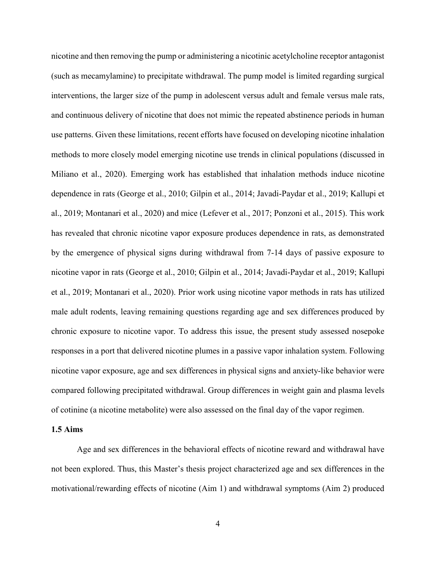nicotine and then removing the pump or administering a nicotinic acetylcholine receptor antagonist (such as mecamylamine) to precipitate withdrawal. The pump model is limited regarding surgical interventions, the larger size of the pump in adolescent versus adult and female versus male rats, and continuous delivery of nicotine that does not mimic the repeated abstinence periods in human use patterns. Given these limitations, recent efforts have focused on developing nicotine inhalation methods to more closely model emerging nicotine use trends in clinical populations (discussed in Miliano et al., 2020). Emerging work has established that inhalation methods induce nicotine dependence in rats (George et al., 2010; Gilpin et al., 2014; Javadi-Paydar et al., 2019; Kallupi et al., 2019; Montanari et al., 2020) and mice (Lefever et al., 2017; Ponzoni et al., 2015). This work has revealed that chronic nicotine vapor exposure produces dependence in rats, as demonstrated by the emergence of physical signs during withdrawal from 7-14 days of passive exposure to nicotine vapor in rats (George et al., 2010; Gilpin et al., 2014; Javadi-Paydar et al., 2019; Kallupi et al., 2019; Montanari et al., 2020). Prior work using nicotine vapor methods in rats has utilized male adult rodents, leaving remaining questions regarding age and sex differences produced by chronic exposure to nicotine vapor. To address this issue, the present study assessed nosepoke responses in a port that delivered nicotine plumes in a passive vapor inhalation system. Following nicotine vapor exposure, age and sex differences in physical signs and anxiety-like behavior were compared following precipitated withdrawal. Group differences in weight gain and plasma levels of cotinine (a nicotine metabolite) were also assessed on the final day of the vapor regimen.

## **1.5 Aims**

Age and sex differences in the behavioral effects of nicotine reward and withdrawal have not been explored. Thus, this Master's thesis project characterized age and sex differences in the motivational/rewarding effects of nicotine (Aim 1) and withdrawal symptoms (Aim 2) produced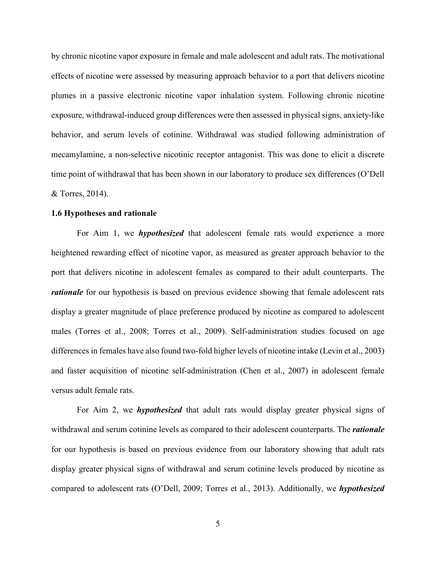by chronic nicotine vapor exposure in female and male adolescent and adult rats. The motivational effects of nicotine were assessed by measuring approach behavior to a port that delivers nicotine plumes in a passive electronic nicotine vapor inhalation system. Following chronic nicotine exposure, withdrawal-induced group differences were then assessed in physical signs, anxiety-like behavior, and serum levels of cotinine. Withdrawal was studied following administration of mecamylamine, a non-selective nicotinic receptor antagonist. This was done to elicit a discrete time point of withdrawal that has been shown in our laboratory to produce sex differences (O'Dell & Torres, 2014).

# **1.6 Hypotheses and rationale**

For Aim 1, we *hypothesized* that adolescent female rats would experience a more heightened rewarding effect of nicotine vapor, as measured as greater approach behavior to the port that delivers nicotine in adolescent females as compared to their adult counterparts. The *rationale* for our hypothesis is based on previous evidence showing that female adolescent rats display a greater magnitude of place preference produced by nicotine as compared to adolescent males (Torres et al., 2008; Torres et al., 2009). Self-administration studies focused on age differences in females have also found two-fold higher levels of nicotine intake (Levin et al., 2003) and faster acquisition of nicotine self-administration (Chen et al., 2007) in adolescent female versus adult female rats.

For Aim 2, we *hypothesized* that adult rats would display greater physical signs of withdrawal and serum cotinine levels as compared to their adolescent counterparts. The *rationale* for our hypothesis is based on previous evidence from our laboratory showing that adult rats display greater physical signs of withdrawal and serum cotinine levels produced by nicotine as compared to adolescent rats (O'Dell, 2009; Torres et al., 2013). Additionally, we *hypothesized*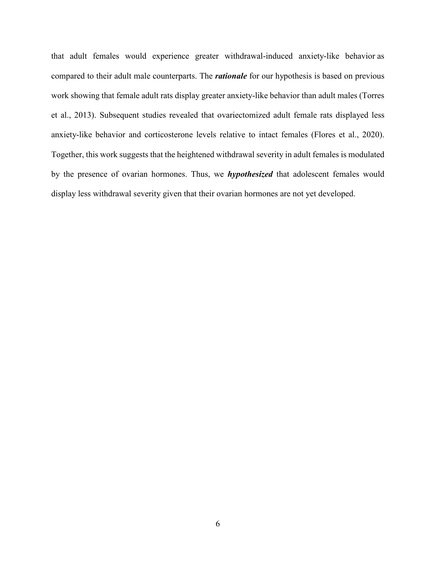that adult females would experience greater withdrawal-induced anxiety-like behavior as compared to their adult male counterparts. The *rationale* for our hypothesis is based on previous work showing that female adult rats display greater anxiety-like behavior than adult males (Torres et al., 2013). Subsequent studies revealed that ovariectomized adult female rats displayed less anxiety-like behavior and corticosterone levels relative to intact females (Flores et al., 2020). Together, this work suggests that the heightened withdrawal severity in adult females is modulated by the presence of ovarian hormones. Thus, we *hypothesized* that adolescent females would display less withdrawal severity given that their ovarian hormones are not yet developed.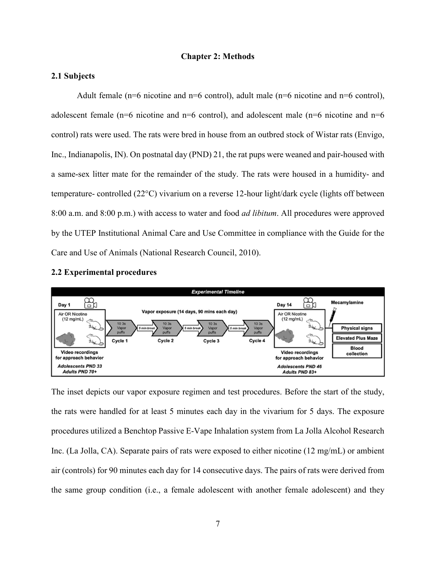# **Chapter 2: Methods**

# **2.1 Subjects**

Adult female ( $n=6$  nicotine and  $n=6$  control), adult male ( $n=6$  nicotine and  $n=6$  control), adolescent female (n=6 nicotine and n=6 control), and adolescent male (n=6 nicotine and  $n=6$ control) rats were used. The rats were bred in house from an outbred stock of Wistar rats (Envigo, Inc., Indianapolis, IN). On postnatal day (PND) 21, the rat pups were weaned and pair-housed with a same-sex litter mate for the remainder of the study. The rats were housed in a humidity- and temperature- controlled (22°C) vivarium on a reverse 12-hour light/dark cycle (lights off between 8:00 a.m. and 8:00 p.m.) with access to water and food *ad libitum*. All procedures were approved by the UTEP Institutional Animal Care and Use Committee in compliance with the Guide for the Care and Use of Animals (National Research Council, 2010).

# **2.2 Experimental procedures**



The inset depicts our vapor exposure regimen and test procedures. Before the start of the study, the rats were handled for at least 5 minutes each day in the vivarium for 5 days. The exposure procedures utilized a Benchtop Passive E-Vape Inhalation system from La Jolla Alcohol Research Inc. (La Jolla, CA). Separate pairs of rats were exposed to either nicotine (12 mg/mL) or ambient air (controls) for 90 minutes each day for 14 consecutive days. The pairs of rats were derived from the same group condition (i.e., a female adolescent with another female adolescent) and they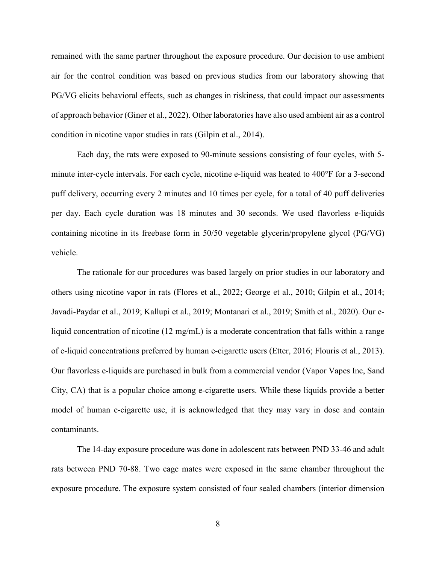remained with the same partner throughout the exposure procedure. Our decision to use ambient air for the control condition was based on previous studies from our laboratory showing that PG/VG elicits behavioral effects, such as changes in riskiness, that could impact our assessments of approach behavior (Giner et al., 2022). Other laboratories have also used ambient air as a control condition in nicotine vapor studies in rats (Gilpin et al., 2014).

Each day, the rats were exposed to 90-minute sessions consisting of four cycles, with 5 minute inter-cycle intervals. For each cycle, nicotine e-liquid was heated to 400°F for a 3-second puff delivery, occurring every 2 minutes and 10 times per cycle, for a total of 40 puff deliveries per day. Each cycle duration was 18 minutes and 30 seconds. We used flavorless e-liquids containing nicotine in its freebase form in 50/50 vegetable glycerin/propylene glycol (PG/VG) vehicle.

The rationale for our procedures was based largely on prior studies in our laboratory and others using nicotine vapor in rats (Flores et al., 2022; George et al., 2010; Gilpin et al., 2014; Javadi-Paydar et al., 2019; Kallupi et al., 2019; Montanari et al., 2019; Smith et al., 2020). Our eliquid concentration of nicotine (12 mg/mL) is a moderate concentration that falls within a range of e-liquid concentrations preferred by human e-cigarette users (Etter, 2016; Flouris et al., 2013). Our flavorless e-liquids are purchased in bulk from a commercial vendor (Vapor Vapes Inc, Sand City, CA) that is a popular choice among e-cigarette users. While these liquids provide a better model of human e-cigarette use, it is acknowledged that they may vary in dose and contain contaminants.

The 14-day exposure procedure was done in adolescent rats between PND 33-46 and adult rats between PND 70-88. Two cage mates were exposed in the same chamber throughout the exposure procedure. The exposure system consisted of four sealed chambers (interior dimension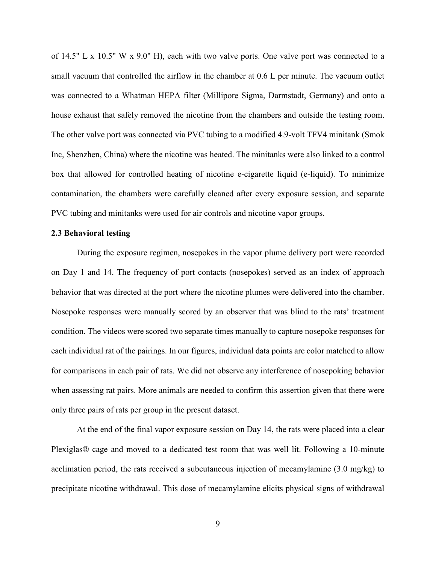of 14.5" L x 10.5" W x 9.0" H), each with two valve ports. One valve port was connected to a small vacuum that controlled the airflow in the chamber at 0.6 L per minute. The vacuum outlet was connected to a Whatman HEPA filter (Millipore Sigma, Darmstadt, Germany) and onto a house exhaust that safely removed the nicotine from the chambers and outside the testing room. The other valve port was connected via PVC tubing to a modified 4.9-volt TFV4 minitank (Smok Inc, Shenzhen, China) where the nicotine was heated. The minitanks were also linked to a control box that allowed for controlled heating of nicotine e-cigarette liquid (e-liquid). To minimize contamination, the chambers were carefully cleaned after every exposure session, and separate PVC tubing and minitanks were used for air controls and nicotine vapor groups.

# **2.3 Behavioral testing**

During the exposure regimen, nosepokes in the vapor plume delivery port were recorded on Day 1 and 14. The frequency of port contacts (nosepokes) served as an index of approach behavior that was directed at the port where the nicotine plumes were delivered into the chamber. Nosepoke responses were manually scored by an observer that was blind to the rats' treatment condition. The videos were scored two separate times manually to capture nosepoke responses for each individual rat of the pairings. In our figures, individual data points are color matched to allow for comparisons in each pair of rats. We did not observe any interference of nosepoking behavior when assessing rat pairs. More animals are needed to confirm this assertion given that there were only three pairs of rats per group in the present dataset.

At the end of the final vapor exposure session on Day 14, the rats were placed into a clear Plexiglas® cage and moved to a dedicated test room that was well lit. Following a 10-minute acclimation period, the rats received a subcutaneous injection of mecamylamine (3.0 mg/kg) to precipitate nicotine withdrawal. This dose of mecamylamine elicits physical signs of withdrawal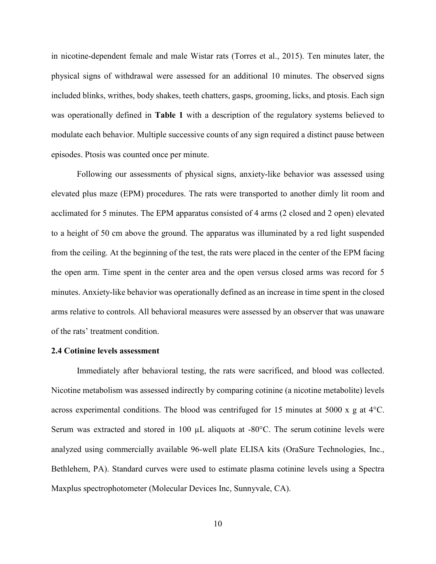in nicotine-dependent female and male Wistar rats (Torres et al., 2015). Ten minutes later, the physical signs of withdrawal were assessed for an additional 10 minutes. The observed signs included blinks, writhes, body shakes, teeth chatters, gasps, grooming, licks, and ptosis. Each sign was operationally defined in **Table 1** with a description of the regulatory systems believed to modulate each behavior. Multiple successive counts of any sign required a distinct pause between episodes. Ptosis was counted once per minute.

Following our assessments of physical signs, anxiety-like behavior was assessed using elevated plus maze (EPM) procedures. The rats were transported to another dimly lit room and acclimated for 5 minutes. The EPM apparatus consisted of 4 arms (2 closed and 2 open) elevated to a height of 50 cm above the ground. The apparatus was illuminated by a red light suspended from the ceiling. At the beginning of the test, the rats were placed in the center of the EPM facing the open arm. Time spent in the center area and the open versus closed arms was record for 5 minutes. Anxiety-like behavior was operationally defined as an increase in time spent in the closed arms relative to controls. All behavioral measures were assessed by an observer that was unaware of the rats' treatment condition.

# **2.4 Cotinine levels assessment**

Immediately after behavioral testing, the rats were sacrificed, and blood was collected. Nicotine metabolism was assessed indirectly by comparing cotinine (a nicotine metabolite) levels across experimental conditions. The blood was centrifuged for 15 minutes at 5000 x g at 4°C. Serum was extracted and stored in 100  $\mu$ L aliquots at -80 $\degree$ C. The serum cotinine levels were analyzed using commercially available 96-well plate ELISA kits (OraSure Technologies, Inc., Bethlehem, PA). Standard curves were used to estimate plasma cotinine levels using a Spectra Maxplus spectrophotometer (Molecular Devices Inc, Sunnyvale, CA).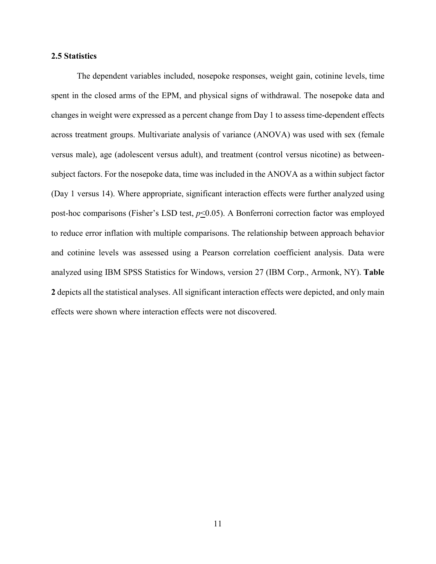# **2.5 Statistics**

The dependent variables included, nosepoke responses, weight gain, cotinine levels, time spent in the closed arms of the EPM, and physical signs of withdrawal. The nosepoke data and changes in weight were expressed as a percent change from Day 1 to assess time-dependent effects across treatment groups. Multivariate analysis of variance (ANOVA) was used with sex (female versus male), age (adolescent versus adult), and treatment (control versus nicotine) as betweensubject factors. For the nosepoke data, time was included in the ANOVA as a within subject factor (Day 1 versus 14). Where appropriate, significant interaction effects were further analyzed using post-hoc comparisons (Fisher's LSD test, *p*<0.05). A Bonferroni correction factor was employed to reduce error inflation with multiple comparisons. The relationship between approach behavior and cotinine levels was assessed using a Pearson correlation coefficient analysis. Data were analyzed using IBM SPSS Statistics for Windows, version 27 (IBM Corp., Armonk, NY). **Table 2** depicts all the statistical analyses. All significant interaction effects were depicted, and only main effects were shown where interaction effects were not discovered.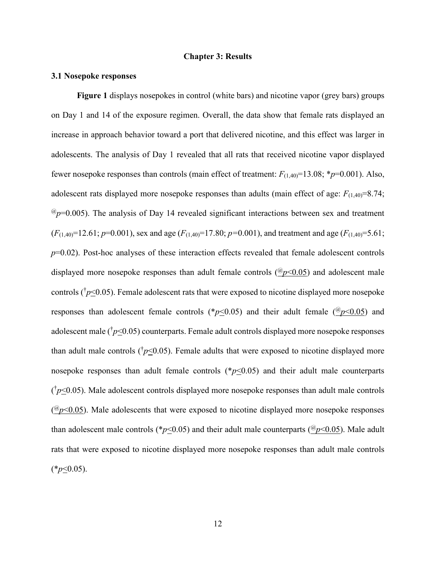# **Chapter 3: Results**

# **3.1 Nosepoke responses**

**Figure 1** displays nosepokes in control (white bars) and nicotine vapor (grey bars) groups on Day 1 and 14 of the exposure regimen. Overall, the data show that female rats displayed an increase in approach behavior toward a port that delivered nicotine, and this effect was larger in adolescents. The analysis of Day 1 revealed that all rats that received nicotine vapor displayed fewer nosepoke responses than controls (main effect of treatment: *F*(1,40)=13.08; \**p*=0.001). Also, adolescent rats displayed more nosepoke responses than adults (main effect of age:  $F_{(1,40)}=8.74$ ;  $\mathcal{P}_p$ =0.005). The analysis of Day 14 revealed significant interactions between sex and treatment  $(F_{(1,40)}=12.61; p=0.001)$ , sex and age  $(F_{(1,40)}=17.80; p=0.001)$ , and treatment and age  $(F_{(1,40)}=5.61; p=0.001)$ *p*=0.02). Post-hoc analyses of these interaction effects revealed that female adolescent controls displayed more nosepoke responses than adult female controls (@*p*<0.05) and adolescent male controls ( $\sqrt{p} \leq 0.05$ ). Female adolescent rats that were exposed to nicotine displayed more nosepoke responses than adolescent female controls ( $p<0.05$ ) and their adult female ( $\mathcal{P}<0.05$ ) and adolescent male ( $\sqrt{p}$ <20.05) counterparts. Female adult controls displayed more nosepoke responses than adult male controls ( $\sqrt{p}$ <0.05). Female adults that were exposed to nicotine displayed more nosepoke responses than adult female controls  $(*p<0.05)$  and their adult male counterparts  $(\frac{b}{20.05})$ . Male adolescent controls displayed more nosepoke responses than adult male controls  $\frac{(\mathcal{O}_p<0.05)}{(\mathcal{O}_p<0.05)}$ . Male adolescents that were exposed to nicotine displayed more nosepoke responses than adolescent male controls (\* $p$ <0.05) and their adult male counterparts ( $\mathcal{P}$ / $\leq$ 0.05). Male adult rats that were exposed to nicotine displayed more nosepoke responses than adult male controls  $(*p<0.05).$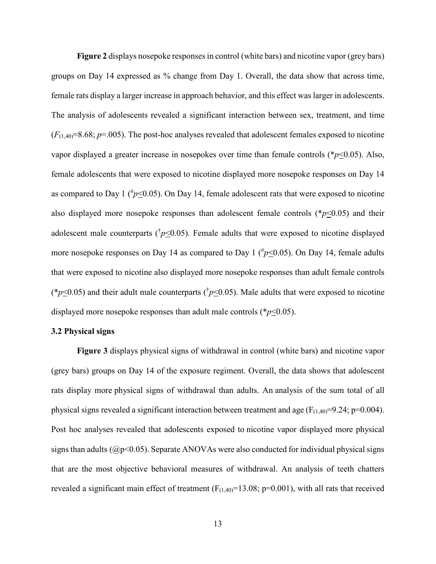**Figure 2** displays nosepoke responses in control (white bars) and nicotine vapor (grey bars) groups on Day 14 expressed as % change from Day 1. Overall, the data show that across time, female rats display a larger increase in approach behavior, and this effect was larger in adolescents. The analysis of adolescents revealed a significant interaction between sex, treatment, and time  $(F_{(1,40)}=8.68; p=.005)$ . The post-hoc analyses revealed that adolescent females exposed to nicotine vapor displayed a greater increase in nosepokes over time than female controls (\**p*<0.05). Also, female adolescents that were exposed to nicotine displayed more nosepoke responses on Day 14 as compared to Day 1 ( $\frac{4}{7}$  p 
ightarrow 0.05). On Day 14, female adolescent rats that were exposed to nicotine also displayed more nosepoke responses than adolescent female controls (\**p*<0.05) and their adolescent male counterparts ( $\bar{p}$ <0.05). Female adults that were exposed to nicotine displayed more nosepoke responses on Day 14 as compared to Day 1 ( $\#p \leq 0.05$ ). On Day 14, female adults that were exposed to nicotine also displayed more nosepoke responses than adult female controls (\* $p \le 0.05$ ) and their adult male counterparts ( $\frac{p}{0.05}$ ). Male adults that were exposed to nicotine displayed more nosepoke responses than adult male controls (\**p*<0.05).

# **3.2 Physical signs**

**Figure 3** displays physical signs of withdrawal in control (white bars) and nicotine vapor (grey bars) groups on Day 14 of the exposure regiment. Overall, the data shows that adolescent rats display more physical signs of withdrawal than adults. An analysis of the sum total of all physical signs revealed a significant interaction between treatment and age ( $F_{(1,40)}=9.24$ ; p=0.004). Post hoc analyses revealed that adolescents exposed to nicotine vapor displayed more physical signs than adults ( $\mathcal{O}(2p<0.05)$ ). Separate ANOVAs were also conducted for individual physical signs that are the most objective behavioral measures of withdrawal. An analysis of teeth chatters revealed a significant main effect of treatment  $(F_{(1,40)}=13.08; p=0.001)$ , with all rats that received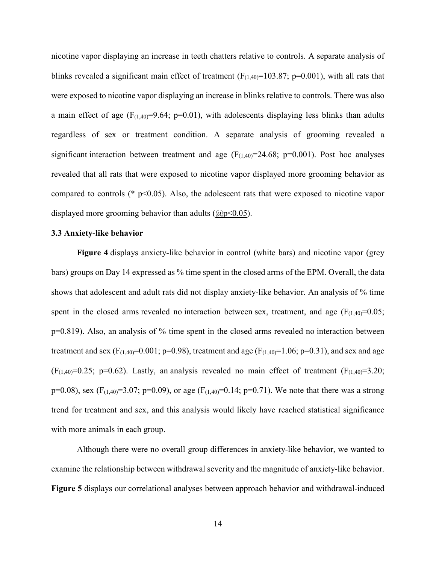nicotine vapor displaying an increase in teeth chatters relative to controls. A separate analysis of blinks revealed a significant main effect of treatment ( $F_{(1,40)}$ =103.87; p=0.001), with all rats that were exposed to nicotine vapor displaying an increase in blinks relative to controls. There was also a main effect of age  $(F_{(1,40)}=9.64; p=0.01)$ , with adolescents displaying less blinks than adults regardless of sex or treatment condition. A separate analysis of grooming revealed a significant interaction between treatment and age  $(F_{(1,40)}=24.68; p=0.001)$ . Post hoc analyses revealed that all rats that were exposed to nicotine vapor displayed more grooming behavior as compared to controls ( $*$  p<0.05). Also, the adolescent rats that were exposed to nicotine vapor displayed more grooming behavior than adults  $(Qp<0.05)$ .

# **3.3 Anxiety-like behavior**

**Figure 4** displays anxiety-like behavior in control (white bars) and nicotine vapor (grey bars) groups on Day 14 expressed as % time spent in the closed arms of the EPM. Overall, the data shows that adolescent and adult rats did not display anxiety-like behavior. An analysis of % time spent in the closed arms revealed no interaction between sex, treatment, and age  $(F_{(1,40)}=0.05;$ p=0.819). Also, an analysis of % time spent in the closed arms revealed no interaction between treatment and sex (F<sub>(1,40)</sub>=0.001; p=0.98), treatment and age (F<sub>(1,40)</sub>=1.06; p=0.31), and sex and age  $(F<sub>(1,40)</sub>=0.25; p=0.62)$ . Lastly, an analysis revealed no main effect of treatment  $(F<sub>(1,40)</sub>=3.20;$ p=0.08), sex (F<sub>(1,40</sub>)=3.07; p=0.09), or age (F<sub>(1,40</sub>)=0.14; p=0.71). We note that there was a strong trend for treatment and sex, and this analysis would likely have reached statistical significance with more animals in each group.

Although there were no overall group differences in anxiety-like behavior, we wanted to examine the relationship between withdrawal severity and the magnitude of anxiety-like behavior. **Figure 5** displays our correlational analyses between approach behavior and withdrawal-induced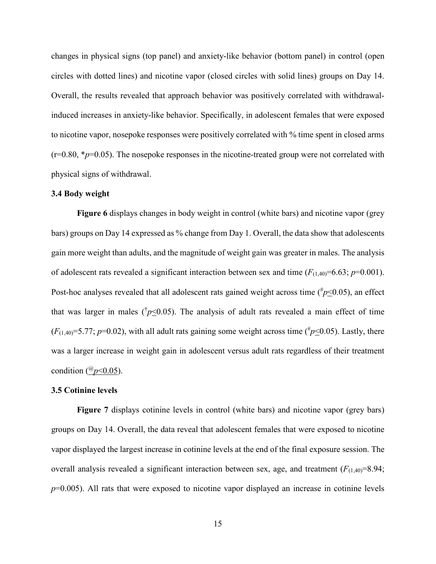changes in physical signs (top panel) and anxiety-like behavior (bottom panel) in control (open circles with dotted lines) and nicotine vapor (closed circles with solid lines) groups on Day 14. Overall, the results revealed that approach behavior was positively correlated with withdrawalinduced increases in anxiety-like behavior. Specifically, in adolescent females that were exposed to nicotine vapor, nosepoke responses were positively correlated with % time spent in closed arms  $(r=0.80, *p=0.05)$ . The nosepoke responses in the nicotine-treated group were not correlated with physical signs of withdrawal.

# **3.4 Body weight**

**Figure 6** displays changes in body weight in control (white bars) and nicotine vapor (grey bars) groups on Day 14 expressed as % change from Day 1. Overall, the data show that adolescents gain more weight than adults, and the magnitude of weight gain was greater in males. The analysis of adolescent rats revealed a significant interaction between sex and time  $(F_{(1,40)}=6.63; p=0.001)$ . Post-hoc analyses revealed that all adolescent rats gained weight across time  $\binom{\#p\leq 0.05}{m}$ , an effect that was larger in males ( $\sqrt{p} \leq 0.05$ ). The analysis of adult rats revealed a main effect of time  $(F_{(1,40)}=5.77; p=0.02)$ , with all adult rats gaining some weight across time ( $\#p\leq 0.05$ ). Lastly, there was a larger increase in weight gain in adolescent versus adult rats regardless of their treatment condition ( ${}^{(0)}p<0.05$ ).

### **3.5 Cotinine levels**

**Figure 7** displays cotinine levels in control (white bars) and nicotine vapor (grey bars) groups on Day 14. Overall, the data reveal that adolescent females that were exposed to nicotine vapor displayed the largest increase in cotinine levels at the end of the final exposure session. The overall analysis revealed a significant interaction between sex, age, and treatment  $(F_{(1,40)}=8.94;$ *p*=0.005). All rats that were exposed to nicotine vapor displayed an increase in cotinine levels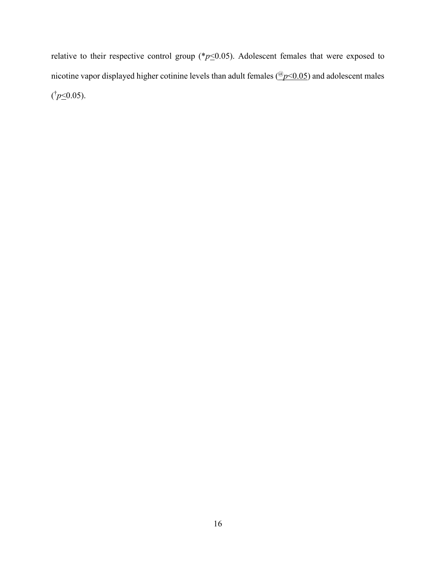relative to their respective control group ( $p \leq 0.05$ ). Adolescent females that were exposed to nicotine vapor displayed higher cotinine levels than adult females (@*p*<0.05) and adolescent males  $(p \le 0.05)$ .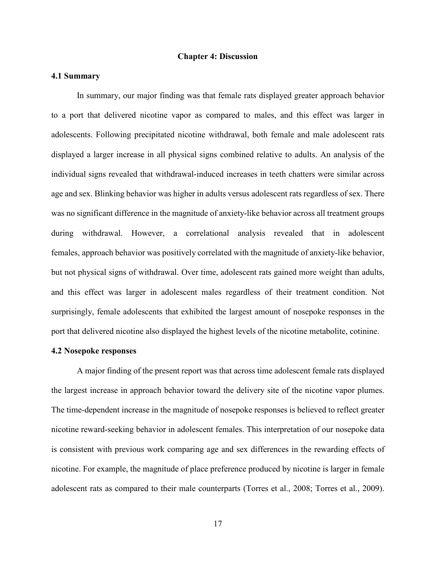## **Chapter 4: Discussion**

## **4.1 Summary**

In summary, our major finding was that female rats displayed greater approach behavior to a port that delivered nicotine vapor as compared to males, and this effect was larger in adolescents. Following precipitated nicotine withdrawal, both female and male adolescent rats displayed a larger increase in all physical signs combined relative to adults. An analysis of the individual signs revealed that withdrawal-induced increases in teeth chatters were similar across age and sex. Blinking behavior was higher in adults versus adolescent rats regardless of sex. There was no significant difference in the magnitude of anxiety-like behavior across all treatment groups during withdrawal. However, a correlational analysis revealed that in adolescent females, approach behavior was positively correlated with the magnitude of anxiety-like behavior, but not physical signs of withdrawal. Over time, adolescent rats gained more weight than adults, and this effect was larger in adolescent males regardless of their treatment condition. Not surprisingly, female adolescents that exhibited the largest amount of nosepoke responses in the port that delivered nicotine also displayed the highest levels of the nicotine metabolite, cotinine.

## **4.2 Nosepoke responses**

A major finding of the present report was that across time adolescent female rats displayed the largest increase in approach behavior toward the delivery site of the nicotine vapor plumes. The time-dependent increase in the magnitude of nosepoke responses is believed to reflect greater nicotine reward-seeking behavior in adolescent females. This interpretation of our nosepoke data is consistent with previous work comparing age and sex differences in the rewarding effects of nicotine. For example, the magnitude of place preference produced by nicotine is larger in female adolescent rats as compared to their male counterparts (Torres et al., 2008; Torres et al., 2009).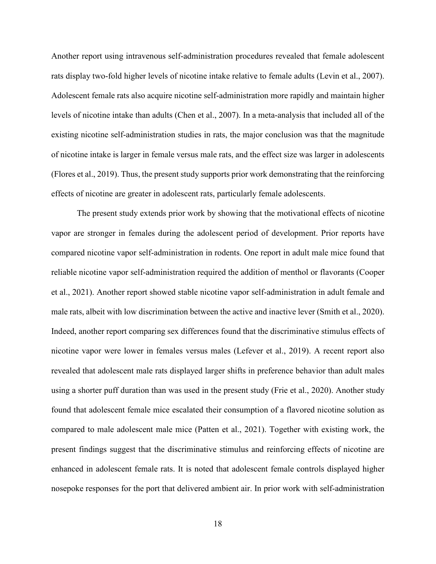Another report using intravenous self-administration procedures revealed that female adolescent rats display two-fold higher levels of nicotine intake relative to female adults (Levin et al., 2007). Adolescent female rats also acquire nicotine self-administration more rapidly and maintain higher levels of nicotine intake than adults (Chen et al., 2007). In a meta-analysis that included all of the existing nicotine self-administration studies in rats, the major conclusion was that the magnitude of nicotine intake is larger in female versus male rats, and the effect size was larger in adolescents (Flores et al., 2019). Thus, the present study supports prior work demonstrating that the reinforcing effects of nicotine are greater in adolescent rats, particularly female adolescents.

The present study extends prior work by showing that the motivational effects of nicotine vapor are stronger in females during the adolescent period of development. Prior reports have compared nicotine vapor self-administration in rodents. One report in adult male mice found that reliable nicotine vapor self-administration required the addition of menthol or flavorants (Cooper et al., 2021). Another report showed stable nicotine vapor self-administration in adult female and male rats, albeit with low discrimination between the active and inactive lever (Smith et al., 2020). Indeed, another report comparing sex differences found that the discriminative stimulus effects of nicotine vapor were lower in females versus males (Lefever et al., 2019). A recent report also revealed that adolescent male rats displayed larger shifts in preference behavior than adult males using a shorter puff duration than was used in the present study (Frie et al., 2020). Another study found that adolescent female mice escalated their consumption of a flavored nicotine solution as compared to male adolescent male mice (Patten et al., 2021). Together with existing work, the present findings suggest that the discriminative stimulus and reinforcing effects of nicotine are enhanced in adolescent female rats. It is noted that adolescent female controls displayed higher nosepoke responses for the port that delivered ambient air. In prior work with self-administration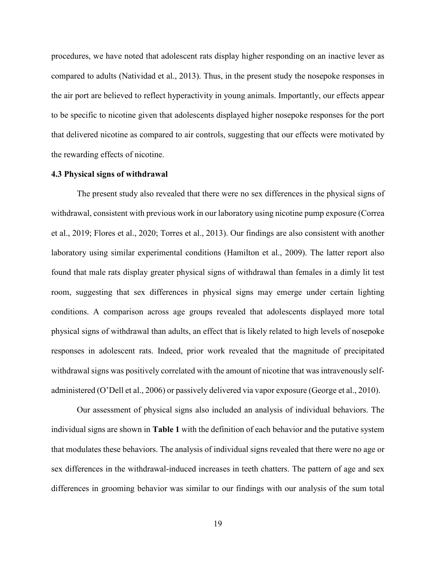procedures, we have noted that adolescent rats display higher responding on an inactive lever as compared to adults (Natividad et al., 2013). Thus, in the present study the nosepoke responses in the air port are believed to reflect hyperactivity in young animals. Importantly, our effects appear to be specific to nicotine given that adolescents displayed higher nosepoke responses for the port that delivered nicotine as compared to air controls, suggesting that our effects were motivated by the rewarding effects of nicotine.

# **4.3 Physical signs of withdrawal**

The present study also revealed that there were no sex differences in the physical signs of withdrawal, consistent with previous work in our laboratory using nicotine pump exposure (Correa et al., 2019; Flores et al., 2020; Torres et al., 2013). Our findings are also consistent with another laboratory using similar experimental conditions (Hamilton et al., 2009). The latter report also found that male rats display greater physical signs of withdrawal than females in a dimly lit test room, suggesting that sex differences in physical signs may emerge under certain lighting conditions. A comparison across age groups revealed that adolescents displayed more total physical signs of withdrawal than adults, an effect that is likely related to high levels of nosepoke responses in adolescent rats. Indeed, prior work revealed that the magnitude of precipitated withdrawal signs was positively correlated with the amount of nicotine that was intravenously selfadministered (O'Dell et al., 2006) or passively delivered via vapor exposure (George et al., 2010).

Our assessment of physical signs also included an analysis of individual behaviors. The individual signs are shown in **Table 1** with the definition of each behavior and the putative system that modulates these behaviors. The analysis of individual signs revealed that there were no age or sex differences in the withdrawal-induced increases in teeth chatters. The pattern of age and sex differences in grooming behavior was similar to our findings with our analysis of the sum total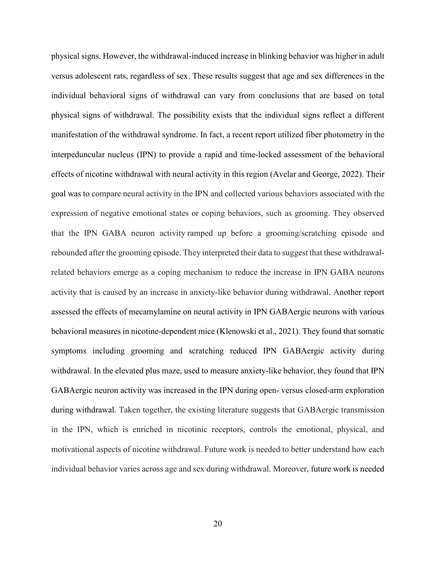physical signs. However, the withdrawal-induced increase in blinking behavior was higher in adult versus adolescent rats, regardless of sex. These results suggest that age and sex differences in the individual behavioral signs of withdrawal can vary from conclusions that are based on total physical signs of withdrawal. The possibility exists that the individual signs reflect a different manifestation of the withdrawal syndrome. In fact, a recent report utilized fiber photometry in the interpeduncular nucleus (IPN) to provide a rapid and time-locked assessment of the behavioral effects of nicotine withdrawal with neural activity in this region (Avelar and George, 2022). Their goal was to compare neural activity in the IPN and collected various behaviors associated with the expression of negative emotional states or coping behaviors, such as grooming. They observed that the IPN GABA neuron activity ramped up before a grooming/scratching episode and rebounded after the grooming episode. They interpreted their data to suggest that these withdrawalrelated behaviors emerge as a coping mechanism to reduce the increase in IPN GABA neurons activity that is caused by an increase in anxiety-like behavior during withdrawal. Another report assessed the effects of mecamylamine on neural activity in IPN GABAergic neurons with various behavioral measures in nicotine-dependent mice (Klenowski et al., 2021). They found that somatic symptoms including grooming and scratching reduced IPN GABAergic activity during withdrawal. In the elevated plus maze, used to measure anxiety-like behavior, they found that IPN GABAergic neuron activity was increased in the IPN during open- versus closed-arm exploration during withdrawal. Taken together, the existing literature suggests that GABAergic transmission in the IPN, which is enriched in nicotinic receptors, controls the emotional, physical, and motivational aspects of nicotine withdrawal. Future work is needed to better understand how each individual behavior varies across age and sex during withdrawal. Moreover, future work is needed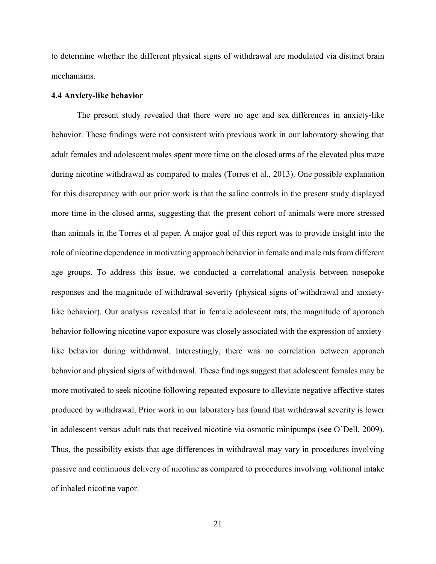to determine whether the different physical signs of withdrawal are modulated via distinct brain mechanisms.

### **4.4 Anxiety-like behavior**

The present study revealed that there were no age and sex differences in anxiety-like behavior. These findings were not consistent with previous work in our laboratory showing that adult females and adolescent males spent more time on the closed arms of the elevated plus maze during nicotine withdrawal as compared to males (Torres et al., 2013). One possible explanation for this discrepancy with our prior work is that the saline controls in the present study displayed more time in the closed arms, suggesting that the present cohort of animals were more stressed than animals in the Torres et al paper. A major goal of this report was to provide insight into the role of nicotine dependence in motivating approach behavior in female and male rats from different age groups. To address this issue, we conducted a correlational analysis between nosepoke responses and the magnitude of withdrawal severity (physical signs of withdrawal and anxietylike behavior). Our analysis revealed that in female adolescent rats, the magnitude of approach behavior following nicotine vapor exposure was closely associated with the expression of anxietylike behavior during withdrawal. Interestingly, there was no correlation between approach behavior and physical signs of withdrawal. These findings suggest that adolescent females may be more motivated to seek nicotine following repeated exposure to alleviate negative affective states produced by withdrawal. Prior work in our laboratory has found that withdrawal severity is lower in adolescent versus adult rats that received nicotine via osmotic minipumps (see O'Dell, 2009). Thus, the possibility exists that age differences in withdrawal may vary in procedures involving passive and continuous delivery of nicotine as compared to procedures involving volitional intake of inhaled nicotine vapor.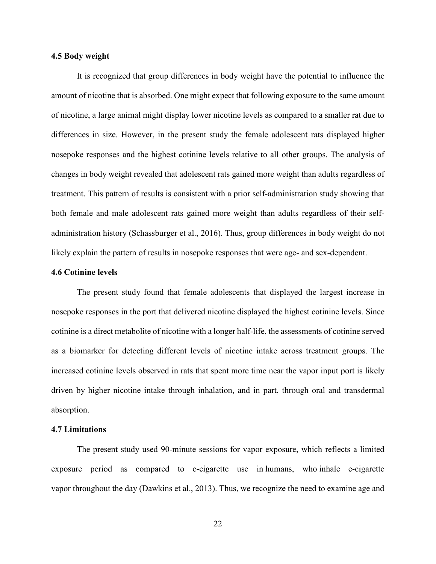## **4.5 Body weight**

It is recognized that group differences in body weight have the potential to influence the amount of nicotine that is absorbed. One might expect that following exposure to the same amount of nicotine, a large animal might display lower nicotine levels as compared to a smaller rat due to differences in size. However, in the present study the female adolescent rats displayed higher nosepoke responses and the highest cotinine levels relative to all other groups. The analysis of changes in body weight revealed that adolescent rats gained more weight than adults regardless of treatment. This pattern of results is consistent with a prior self-administration study showing that both female and male adolescent rats gained more weight than adults regardless of their selfadministration history (Schassburger et al., 2016). Thus, group differences in body weight do not likely explain the pattern of results in nosepoke responses that were age- and sex-dependent.

## **4.6 Cotinine levels**

The present study found that female adolescents that displayed the largest increase in nosepoke responses in the port that delivered nicotine displayed the highest cotinine levels. Since cotinine is a direct metabolite of nicotine with a longer half-life, the assessments of cotinine served as a biomarker for detecting different levels of nicotine intake across treatment groups. The increased cotinine levels observed in rats that spent more time near the vapor input port is likely driven by higher nicotine intake through inhalation, and in part, through oral and transdermal absorption.

## **4.7 Limitations**

The present study used 90-minute sessions for vapor exposure, which reflects a limited exposure period as compared to e-cigarette use in humans, who inhale e-cigarette vapor throughout the day (Dawkins et al., 2013). Thus, we recognize the need to examine age and

22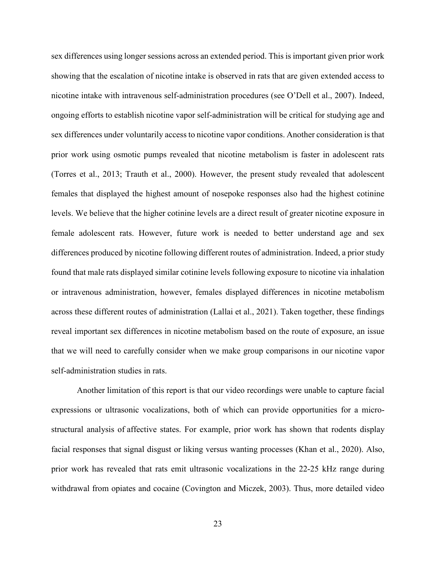sex differences using longer sessions across an extended period. This is important given prior work showing that the escalation of nicotine intake is observed in rats that are given extended access to nicotine intake with intravenous self-administration procedures (see O'Dell et al., 2007). Indeed, ongoing efforts to establish nicotine vapor self-administration will be critical for studying age and sex differences under voluntarily access to nicotine vapor conditions. Another consideration is that prior work using osmotic pumps revealed that nicotine metabolism is faster in adolescent rats (Torres et al., 2013; Trauth et al., 2000). However, the present study revealed that adolescent females that displayed the highest amount of nosepoke responses also had the highest cotinine levels. We believe that the higher cotinine levels are a direct result of greater nicotine exposure in female adolescent rats. However, future work is needed to better understand age and sex differences produced by nicotine following different routes of administration. Indeed, a prior study found that male rats displayed similar cotinine levels following exposure to nicotine via inhalation or intravenous administration, however, females displayed differences in nicotine metabolism across these different routes of administration (Lallai et al., 2021). Taken together, these findings reveal important sex differences in nicotine metabolism based on the route of exposure, an issue that we will need to carefully consider when we make group comparisons in our nicotine vapor self-administration studies in rats.

Another limitation of this report is that our video recordings were unable to capture facial expressions or ultrasonic vocalizations, both of which can provide opportunities for a microstructural analysis of affective states. For example, prior work has shown that rodents display facial responses that signal disgust or liking versus wanting processes (Khan et al., 2020). Also, prior work has revealed that rats emit ultrasonic vocalizations in the 22-25 kHz range during withdrawal from opiates and cocaine (Covington and Miczek, 2003). Thus, more detailed video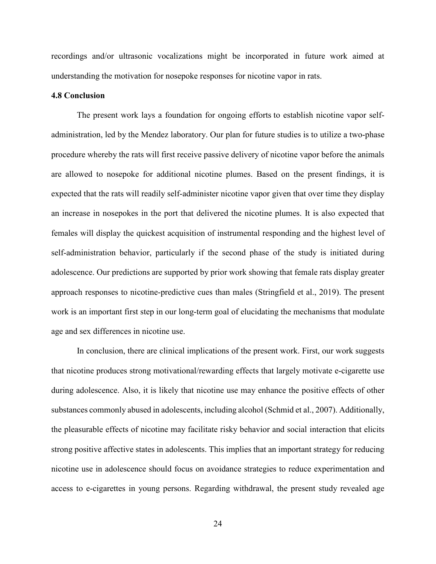recordings and/or ultrasonic vocalizations might be incorporated in future work aimed at understanding the motivation for nosepoke responses for nicotine vapor in rats.

## **4.8 Conclusion**

The present work lays a foundation for ongoing efforts to establish nicotine vapor selfadministration, led by the Mendez laboratory. Our plan for future studies is to utilize a two-phase procedure whereby the rats will first receive passive delivery of nicotine vapor before the animals are allowed to nosepoke for additional nicotine plumes. Based on the present findings, it is expected that the rats will readily self-administer nicotine vapor given that over time they display an increase in nosepokes in the port that delivered the nicotine plumes. It is also expected that females will display the quickest acquisition of instrumental responding and the highest level of self-administration behavior, particularly if the second phase of the study is initiated during adolescence. Our predictions are supported by prior work showing that female rats display greater approach responses to nicotine-predictive cues than males (Stringfield et al., 2019). The present work is an important first step in our long-term goal of elucidating the mechanisms that modulate age and sex differences in nicotine use.

In conclusion, there are clinical implications of the present work. First, our work suggests that nicotine produces strong motivational/rewarding effects that largely motivate e-cigarette use during adolescence. Also, it is likely that nicotine use may enhance the positive effects of other substances commonly abused in adolescents, including alcohol (Schmid et al., 2007). Additionally, the pleasurable effects of nicotine may facilitate risky behavior and social interaction that elicits strong positive affective states in adolescents. This implies that an important strategy for reducing nicotine use in adolescence should focus on avoidance strategies to reduce experimentation and access to e-cigarettes in young persons. Regarding withdrawal, the present study revealed age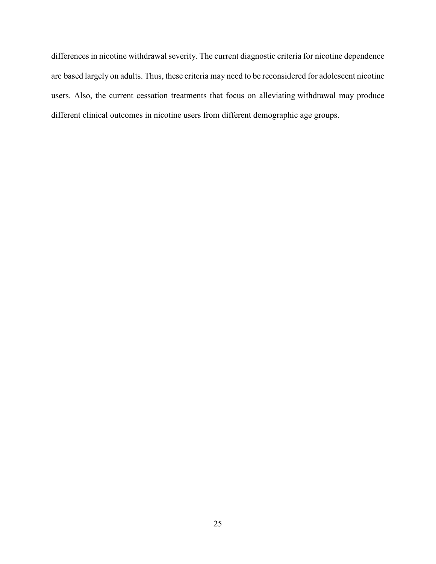differences in nicotine withdrawal severity. The current diagnostic criteria for nicotine dependence are based largely on adults. Thus, these criteria may need to be reconsidered for adolescent nicotine users. Also, the current cessation treatments that focus on alleviating withdrawal may produce different clinical outcomes in nicotine users from different demographic age groups.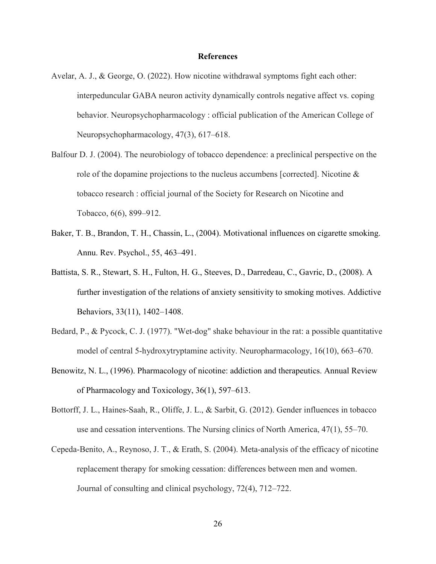### **References**

- Avelar, A. J., & George, O. (2022). How nicotine withdrawal symptoms fight each other: interpeduncular GABA neuron activity dynamically controls negative affect vs. coping behavior. Neuropsychopharmacology : official publication of the American College of Neuropsychopharmacology, 47(3), 617–618.
- Balfour D. J. (2004). The neurobiology of tobacco dependence: a preclinical perspective on the role of the dopamine projections to the nucleus accumbens [corrected]. Nicotine & tobacco research : official journal of the Society for Research on Nicotine and Tobacco, 6(6), 899–912.
- Baker, T. B., Brandon, T. H., Chassin, L., (2004). Motivational influences on cigarette smoking. Annu. Rev. Psychol., 55, 463–491.
- Battista, S. R., Stewart, S. H., Fulton, H. G., Steeves, D., Darredeau, C., Gavric, D., (2008). A further investigation of the relations of anxiety sensitivity to smoking motives. Addictive Behaviors, 33(11), 1402–1408.
- Bedard, P., & Pycock, C. J. (1977). "Wet-dog" shake behaviour in the rat: a possible quantitative model of central 5-hydroxytryptamine activity. Neuropharmacology, 16(10), 663–670.
- Benowitz, N. L., (1996). Pharmacology of nicotine: addiction and therapeutics. Annual Review of Pharmacology and Toxicology, 36(1), 597–613.
- Bottorff, J. L., Haines-Saah, R., Oliffe, J. L., & Sarbit, G. (2012). Gender influences in tobacco use and cessation interventions. The Nursing clinics of North America, 47(1), 55–70.
- Cepeda-Benito, A., Reynoso, J. T., & Erath, S. (2004). Meta-analysis of the efficacy of nicotine replacement therapy for smoking cessation: differences between men and women. Journal of consulting and clinical psychology, 72(4), 712–722.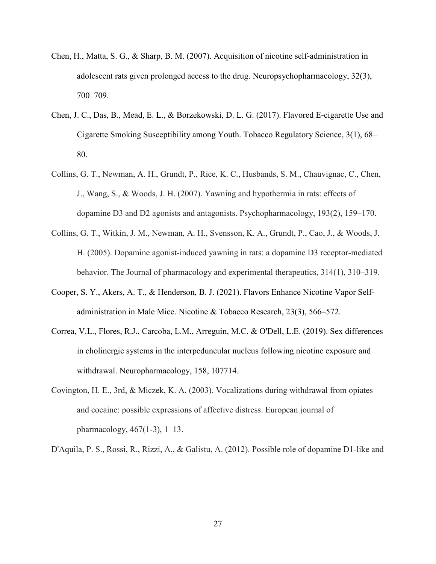- Chen, H., Matta, S. G., & Sharp, B. M. (2007). Acquisition of nicotine self-administration in adolescent rats given prolonged access to the drug. Neuropsychopharmacology, 32(3), 700–709.
- Chen, J. C., Das, B., Mead, E. L., & Borzekowski, D. L. G. (2017). Flavored E-cigarette Use and Cigarette Smoking Susceptibility among Youth. Tobacco Regulatory Science, 3(1), 68– 80.
- Collins, G. T., Newman, A. H., Grundt, P., Rice, K. C., Husbands, S. M., Chauvignac, C., Chen, J., Wang, S., & Woods, J. H. (2007). Yawning and hypothermia in rats: effects of dopamine D3 and D2 agonists and antagonists. Psychopharmacology, 193(2), 159–170.
- Collins, G. T., Witkin, J. M., Newman, A. H., Svensson, K. A., Grundt, P., Cao, J., & Woods, J. H. (2005). Dopamine agonist-induced yawning in rats: a dopamine D3 receptor-mediated behavior. The Journal of pharmacology and experimental therapeutics, 314(1), 310–319.
- Cooper, S. Y., Akers, A. T., & Henderson, B. J. (2021). Flavors Enhance Nicotine Vapor Selfadministration in Male Mice. Nicotine & Tobacco Research, 23(3), 566–572.
- Correa, V.L., Flores, R.J., Carcoba, L.M., Arreguin, M.C. & O'Dell, L.E. (2019). Sex differences in cholinergic systems in the interpeduncular nucleus following nicotine exposure and withdrawal. Neuropharmacology, 158, 107714.
- Covington, H. E., 3rd, & Miczek, K. A. (2003). Vocalizations during withdrawal from opiates and cocaine: possible expressions of affective distress. European journal of pharmacology, 467(1-3), 1–13.
- D'Aquila, P. S., Rossi, R., Rizzi, A., & Galistu, A. (2012). Possible role of dopamine D1-like and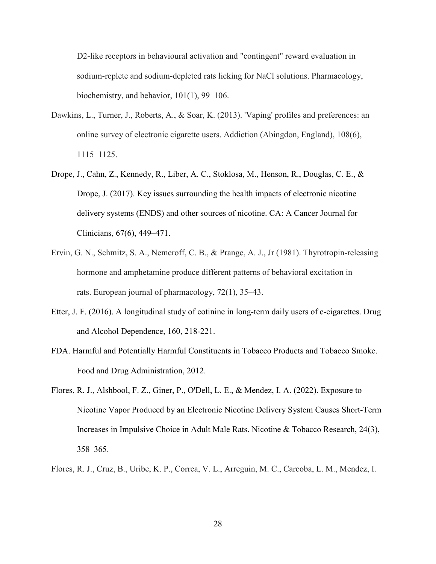D2-like receptors in behavioural activation and "contingent" reward evaluation in sodium-replete and sodium-depleted rats licking for NaCl solutions. Pharmacology, biochemistry, and behavior, 101(1), 99–106.

- Dawkins, L., Turner, J., Roberts, A., & Soar, K. (2013). 'Vaping' profiles and preferences: an online survey of electronic cigarette users. Addiction (Abingdon, England), 108(6), 1115–1125.
- Drope, J., Cahn, Z., Kennedy, R., Liber, A. C., Stoklosa, M., Henson, R., Douglas, C. E., & Drope, J. (2017). Key issues surrounding the health impacts of electronic nicotine delivery systems (ENDS) and other sources of nicotine. CA: A Cancer Journal for Clinicians, 67(6), 449–471.
- Ervin, G. N., Schmitz, S. A., Nemeroff, C. B., & Prange, A. J., Jr (1981). Thyrotropin-releasing hormone and amphetamine produce different patterns of behavioral excitation in rats. European journal of pharmacology, 72(1), 35–43.
- Etter, J. F. (2016). A longitudinal study of cotinine in long-term daily users of e-cigarettes. Drug and Alcohol Dependence, 160, 218-221.
- FDA. Harmful and Potentially Harmful Constituents in Tobacco Products and Tobacco Smoke. Food and Drug Administration, 2012.
- Flores, R. J., Alshbool, F. Z., Giner, P., O'Dell, L. E., & Mendez, I. A. (2022). Exposure to Nicotine Vapor Produced by an Electronic Nicotine Delivery System Causes Short-Term Increases in Impulsive Choice in Adult Male Rats. Nicotine & Tobacco Research, 24(3), 358–365.
- Flores, R. J., Cruz, B., Uribe, K. P., Correa, V. L., Arreguin, M. C., Carcoba, L. M., Mendez, I.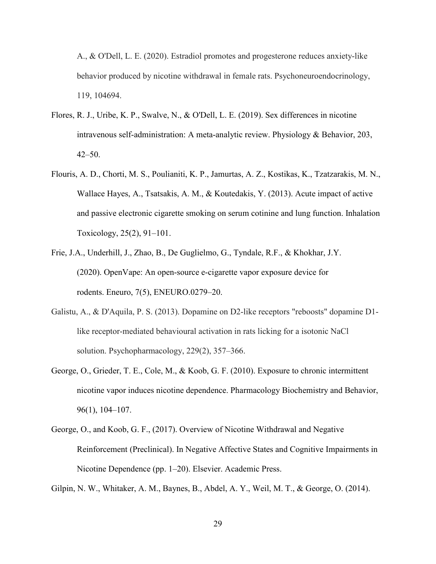A., & O'Dell, L. E. (2020). Estradiol promotes and progesterone reduces anxiety-like behavior produced by nicotine withdrawal in female rats. Psychoneuroendocrinology, 119, 104694.

- Flores, R. J., Uribe, K. P., Swalve, N., & O'Dell, L. E. (2019). Sex differences in nicotine intravenous self-administration: A meta-analytic review. Physiology & Behavior, 203,  $42 - 50$ .
- Flouris, A. D., Chorti, M. S., Poulianiti, K. P., Jamurtas, A. Z., Kostikas, K., Tzatzarakis, M. N., Wallace Hayes, A., Tsatsakis, A. M., & Koutedakis, Y. (2013). Acute impact of active and passive electronic cigarette smoking on serum cotinine and lung function. Inhalation Toxicology, 25(2), 91–101.
- Frie, J.A., Underhill, J., Zhao, B., De Guglielmo, G., Tyndale, R.F., & Khokhar, J.Y. (2020). OpenVape: An open-source e-cigarette vapor exposure device for rodents. Eneuro, 7(5), ENEURO.0279–20.
- Galistu, A., & D'Aquila, P. S. (2013). Dopamine on D2-like receptors "reboosts" dopamine D1 like receptor-mediated behavioural activation in rats licking for a isotonic NaCl solution. Psychopharmacology, 229(2), 357–366.
- George, O., Grieder, T. E., Cole, M., & Koob, G. F. (2010). Exposure to chronic intermittent nicotine vapor induces nicotine dependence. Pharmacology Biochemistry and Behavior, 96(1), 104–107.
- George, O., and Koob, G. F., (2017). Overview of Nicotine Withdrawal and Negative Reinforcement (Preclinical). In Negative Affective States and Cognitive Impairments in Nicotine Dependence (pp. 1–20). Elsevier. Academic Press.

Gilpin, N. W., Whitaker, A. M., Baynes, B., Abdel, A. Y., Weil, M. T., & George, O. (2014).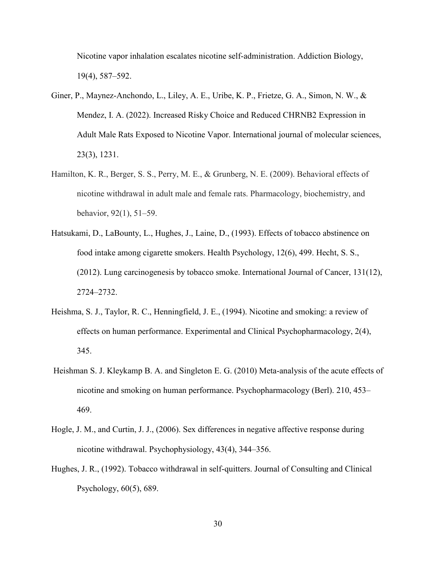Nicotine vapor inhalation escalates nicotine self-administration. Addiction Biology, 19(4), 587–592.

- Giner, P., Maynez-Anchondo, L., Liley, A. E., Uribe, K. P., Frietze, G. A., Simon, N. W., & Mendez, I. A. (2022). Increased Risky Choice and Reduced CHRNB2 Expression in Adult Male Rats Exposed to Nicotine Vapor. International journal of molecular sciences, 23(3), 1231.
- Hamilton, K. R., Berger, S. S., Perry, M. E., & Grunberg, N. E. (2009). Behavioral effects of nicotine withdrawal in adult male and female rats. Pharmacology, biochemistry, and behavior, 92(1), 51–59.
- Hatsukami, D., LaBounty, L., Hughes, J., Laine, D., (1993). Effects of tobacco abstinence on food intake among cigarette smokers. Health Psychology, 12(6), 499. Hecht, S. S., (2012). Lung carcinogenesis by tobacco smoke. International Journal of Cancer, 131(12), 2724–2732.
- Heishma, S. J., Taylor, R. C., Henningfield, J. E., (1994). Nicotine and smoking: a review of effects on human performance. Experimental and Clinical Psychopharmacology, 2(4), 345.
- Heishman S. J. Kleykamp B. A. and Singleton E. G. (2010) Meta-analysis of the acute effects of nicotine and smoking on human performance. Psychopharmacology (Berl). 210, 453– 469.
- Hogle, J. M., and Curtin, J. J., (2006). Sex differences in negative affective response during nicotine withdrawal. Psychophysiology, 43(4), 344–356.
- Hughes, J. R., (1992). Tobacco withdrawal in self-quitters. Journal of Consulting and Clinical Psychology, 60(5), 689.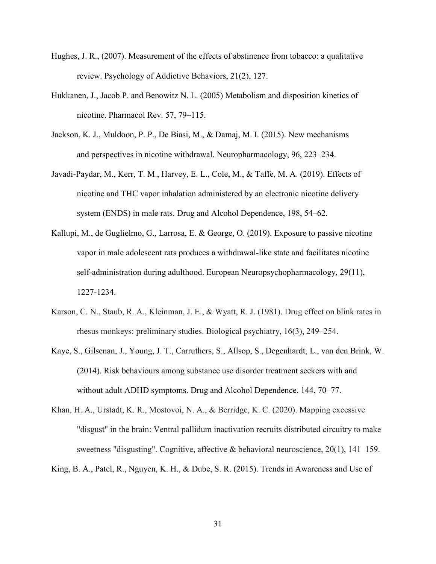- Hughes, J. R., (2007). Measurement of the effects of abstinence from tobacco: a qualitative review. Psychology of Addictive Behaviors, 21(2), 127.
- Hukkanen, J., Jacob P. and Benowitz N. L. (2005) Metabolism and disposition kinetics of nicotine. Pharmacol Rev. 57, 79–115.
- Jackson, K. J., Muldoon, P. P., De Biasi, M., & Damaj, M. I. (2015). New mechanisms and perspectives in nicotine withdrawal. Neuropharmacology, 96, 223–234.
- Javadi-Paydar, M., Kerr, T. M., Harvey, E. L., Cole, M., & Taffe, M. A. (2019). Effects of nicotine and THC vapor inhalation administered by an electronic nicotine delivery system (ENDS) in male rats. Drug and Alcohol Dependence, 198, 54–62.
- Kallupi, M., de Guglielmo, G., Larrosa, E. & George, O. (2019). Exposure to passive nicotine vapor in male adolescent rats produces a withdrawal-like state and facilitates nicotine self-administration during adulthood. European Neuropsychopharmacology, 29(11), 1227-1234.
- Karson, C. N., Staub, R. A., Kleinman, J. E., & Wyatt, R. J. (1981). Drug effect on blink rates in rhesus monkeys: preliminary studies. Biological psychiatry, 16(3), 249–254.
- Kaye, S., Gilsenan, J., Young, J. T., Carruthers, S., Allsop, S., Degenhardt, L., van den Brink, W. (2014). Risk behaviours among substance use disorder treatment seekers with and without adult ADHD symptoms. Drug and Alcohol Dependence, 144, 70–77.
- Khan, H. A., Urstadt, K. R., Mostovoi, N. A., & Berridge, K. C. (2020). Mapping excessive "disgust" in the brain: Ventral pallidum inactivation recruits distributed circuitry to make sweetness "disgusting". Cognitive, affective & behavioral neuroscience, 20(1), 141–159.
- King, B. A., Patel, R., Nguyen, K. H., & Dube, S. R. (2015). Trends in Awareness and Use of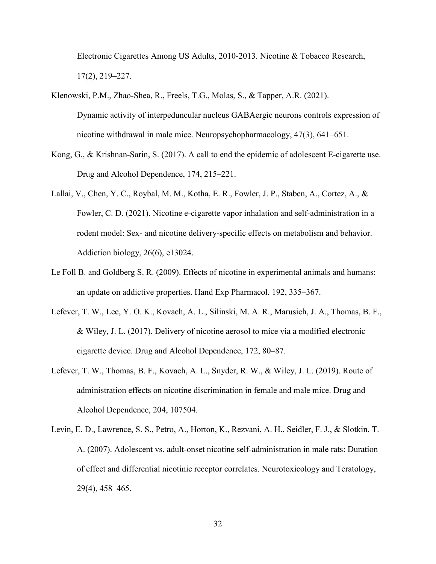Electronic Cigarettes Among US Adults, 2010-2013. Nicotine & Tobacco Research, 17(2), 219–227.

- Klenowski, P.M., Zhao-Shea, R., Freels, T.G., Molas, S., & Tapper, A.R. (2021). Dynamic activity of interpeduncular nucleus GABAergic neurons controls expression of nicotine withdrawal in male mice. Neuropsychopharmacology, 47(3), 641–651.
- Kong, G., & Krishnan-Sarin, S. (2017). A call to end the epidemic of adolescent E-cigarette use. Drug and Alcohol Dependence, 174, 215–221.
- Lallai, V., Chen, Y. C., Roybal, M. M., Kotha, E. R., Fowler, J. P., Staben, A., Cortez, A., & Fowler, C. D. (2021). Nicotine e-cigarette vapor inhalation and self-administration in a rodent model: Sex- and nicotine delivery-specific effects on metabolism and behavior. Addiction biology, 26(6), e13024.
- Le Foll B. and Goldberg S. R. (2009). Effects of nicotine in experimental animals and humans: an update on addictive properties. Hand Exp Pharmacol. 192, 335–367.
- Lefever, T. W., Lee, Y. O. K., Kovach, A. L., Silinski, M. A. R., Marusich, J. A., Thomas, B. F., & Wiley, J. L. (2017). Delivery of nicotine aerosol to mice via a modified electronic cigarette device. Drug and Alcohol Dependence, 172, 80–87.
- Lefever, T. W., Thomas, B. F., Kovach, A. L., Snyder, R. W., & Wiley, J. L. (2019). Route of administration effects on nicotine discrimination in female and male mice. Drug and Alcohol Dependence, 204, 107504.
- Levin, E. D., Lawrence, S. S., Petro, A., Horton, K., Rezvani, A. H., Seidler, F. J., & Slotkin, T. A. (2007). Adolescent vs. adult-onset nicotine self-administration in male rats: Duration of effect and differential nicotinic receptor correlates. Neurotoxicology and Teratology, 29(4), 458–465.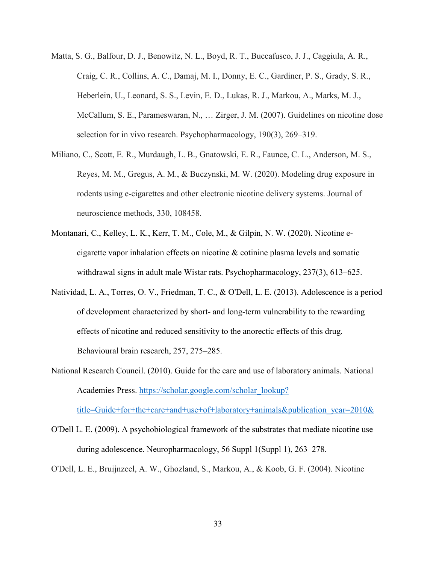- Matta, S. G., Balfour, D. J., Benowitz, N. L., Boyd, R. T., Buccafusco, J. J., Caggiula, A. R., Craig, C. R., Collins, A. C., Damaj, M. I., Donny, E. C., Gardiner, P. S., Grady, S. R., Heberlein, U., Leonard, S. S., Levin, E. D., Lukas, R. J., Markou, A., Marks, M. J., McCallum, S. E., Parameswaran, N., … Zirger, J. M. (2007). Guidelines on nicotine dose selection for in vivo research. Psychopharmacology, 190(3), 269–319.
- Miliano, C., Scott, E. R., Murdaugh, L. B., Gnatowski, E. R., Faunce, C. L., Anderson, M. S., Reyes, M. M., Gregus, A. M., & Buczynski, M. W. (2020). Modeling drug exposure in rodents using e-cigarettes and other electronic nicotine delivery systems. Journal of neuroscience methods, 330, 108458.
- Montanari, C., Kelley, L. K., Kerr, T. M., Cole, M., & Gilpin, N. W. (2020). Nicotine ecigarette vapor inhalation effects on nicotine & cotinine plasma levels and somatic withdrawal signs in adult male Wistar rats. Psychopharmacology, 237(3), 613–625.
- Natividad, L. A., Torres, O. V., Friedman, T. C., & O'Dell, L. E. (2013). Adolescence is a period of development characterized by short- and long-term vulnerability to the rewarding effects of nicotine and reduced sensitivity to the anorectic effects of this drug. Behavioural brain research, 257, 275–285.
- National Research Council. (2010). Guide for the care and use of laboratory animals. National Academies Press. https://scholar.google.com/scholar\_lookup?

title=Guide+for+the+care+and+use+of+laboratory+animals&publication\_year=2010&

- O'Dell L. E. (2009). A psychobiological framework of the substrates that mediate nicotine use during adolescence. Neuropharmacology, 56 Suppl 1(Suppl 1), 263–278.
- O'Dell, L. E., Bruijnzeel, A. W., Ghozland, S., Markou, A., & Koob, G. F. (2004). Nicotine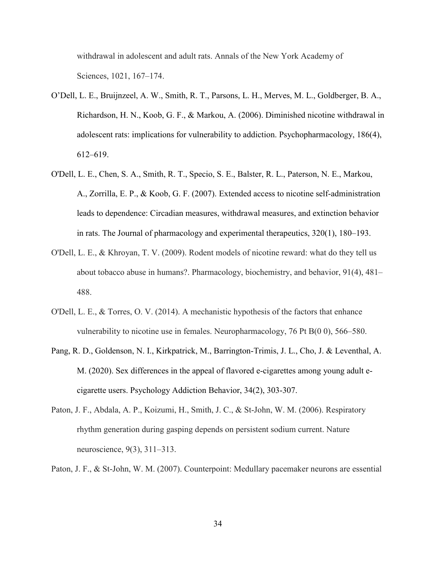withdrawal in adolescent and adult rats. Annals of the New York Academy of Sciences, 1021, 167–174.

- O'Dell, L. E., Bruijnzeel, A. W., Smith, R. T., Parsons, L. H., Merves, M. L., Goldberger, B. A., Richardson, H. N., Koob, G. F., & Markou, A. (2006). Diminished nicotine withdrawal in adolescent rats: implications for vulnerability to addiction. Psychopharmacology, 186(4), 612–619.
- O'Dell, L. E., Chen, S. A., Smith, R. T., Specio, S. E., Balster, R. L., Paterson, N. E., Markou, A., Zorrilla, E. P., & Koob, G. F. (2007). Extended access to nicotine self-administration leads to dependence: Circadian measures, withdrawal measures, and extinction behavior in rats. The Journal of pharmacology and experimental therapeutics, 320(1), 180–193.
- O'Dell, L. E., & Khroyan, T. V. (2009). Rodent models of nicotine reward: what do they tell us about tobacco abuse in humans?. Pharmacology, biochemistry, and behavior, 91(4), 481– 488.
- O'Dell, L. E., & Torres, O. V. (2014). A mechanistic hypothesis of the factors that enhance vulnerability to nicotine use in females. Neuropharmacology, 76 Pt B(0 0), 566–580.
- Pang, R. D., Goldenson, N. I., Kirkpatrick, M., Barrington-Trimis, J. L., Cho, J. & Leventhal, A. M. (2020). Sex differences in the appeal of flavored e-cigarettes among young adult ecigarette users. Psychology Addiction Behavior, 34(2), 303-307.
- Paton, J. F., Abdala, A. P., Koizumi, H., Smith, J. C., & St-John, W. M. (2006). Respiratory rhythm generation during gasping depends on persistent sodium current. Nature neuroscience, 9(3), 311–313.
- Paton, J. F., & St-John, W. M. (2007). Counterpoint: Medullary pacemaker neurons are essential

34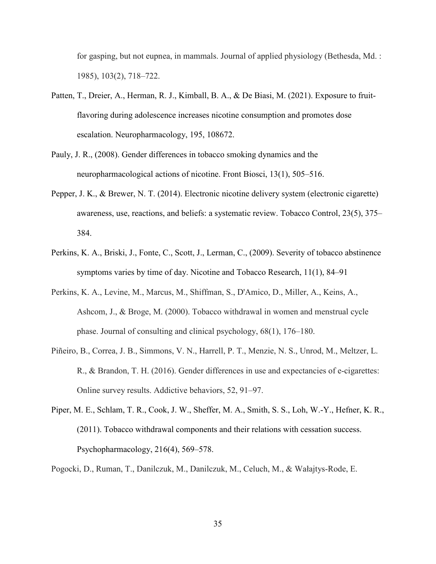for gasping, but not eupnea, in mammals. Journal of applied physiology (Bethesda, Md. : 1985), 103(2), 718–722.

- Patten, T., Dreier, A., Herman, R. J., Kimball, B. A., & De Biasi, M. (2021). Exposure to fruitflavoring during adolescence increases nicotine consumption and promotes dose escalation. Neuropharmacology, 195, 108672.
- Pauly, J. R., (2008). Gender differences in tobacco smoking dynamics and the neuropharmacological actions of nicotine. Front Biosci, 13(1), 505–516.
- Pepper, J. K., & Brewer, N. T. (2014). Electronic nicotine delivery system (electronic cigarette) awareness, use, reactions, and beliefs: a systematic review. Tobacco Control, 23(5), 375– 384.
- Perkins, K. A., Briski, J., Fonte, C., Scott, J., Lerman, C., (2009). Severity of tobacco abstinence symptoms varies by time of day. Nicotine and Tobacco Research, 11(1), 84–91
- Perkins, K. A., Levine, M., Marcus, M., Shiffman, S., D'Amico, D., Miller, A., Keins, A., Ashcom, J., & Broge, M. (2000). Tobacco withdrawal in women and menstrual cycle phase. Journal of consulting and clinical psychology, 68(1), 176–180.
- Piñeiro, B., Correa, J. B., Simmons, V. N., Harrell, P. T., Menzie, N. S., Unrod, M., Meltzer, L. R., & Brandon, T. H. (2016). Gender differences in use and expectancies of e-cigarettes: Online survey results. Addictive behaviors, 52, 91–97.
- Piper, M. E., Schlam, T. R., Cook, J. W., Sheffer, M. A., Smith, S. S., Loh, W.-Y., Hefner, K. R., (2011). Tobacco withdrawal components and their relations with cessation success. Psychopharmacology, 216(4), 569–578.
- Pogocki, D., Ruman, T., Danilczuk, M., Danilczuk, M., Celuch, M., & Wałajtys-Rode, E.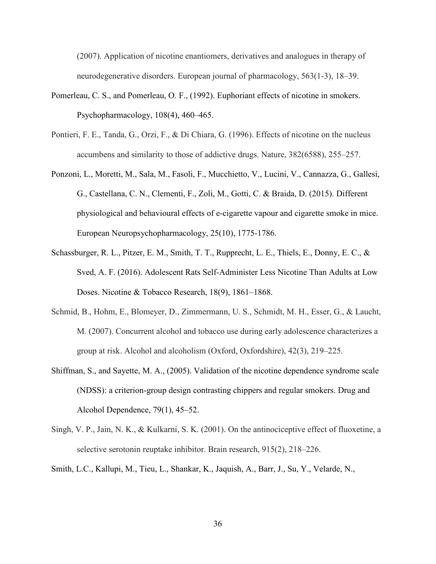(2007). Application of nicotine enantiomers, derivatives and analogues in therapy of neurodegenerative disorders. European journal of pharmacology, 563(1-3), 18–39.

- Pomerleau, C. S., and Pomerleau, O. F., (1992). Euphoriant effects of nicotine in smokers. Psychopharmacology, 108(4), 460–465.
- Pontieri, F. E., Tanda, G., Orzi, F., & Di Chiara, G. (1996). Effects of nicotine on the nucleus accumbens and similarity to those of addictive drugs. Nature, 382(6588), 255–257.
- Ponzoni, L., Moretti, M., Sala, M., Fasoli, F., Mucchietto, V., Lucini, V., Cannazza, G., Gallesi, G., Castellana, C. N., Clementi, F., Zoli, M., Gotti, C. & Braida, D. (2015). Different physiological and behavioural effects of e-cigarette vapour and cigarette smoke in mice. European Neuropsychopharmacology, 25(10), 1775-1786.
- Schassburger, R. L., Pitzer, E. M., Smith, T. T., Rupprecht, L. E., Thiels, E., Donny, E. C., & Sved, A. F. (2016). Adolescent Rats Self-Administer Less Nicotine Than Adults at Low Doses. Nicotine & Tobacco Research, 18(9), 1861–1868.
- Schmid, B., Hohm, E., Blomeyer, D., Zimmermann, U. S., Schmidt, M. H., Esser, G., & Laucht, M. (2007). Concurrent alcohol and tobacco use during early adolescence characterizes a group at risk. Alcohol and alcoholism (Oxford, Oxfordshire), 42(3), 219–225.
- Shiffman, S., and Sayette, M. A., (2005). Validation of the nicotine dependence syndrome scale (NDSS): a criterion-group design contrasting chippers and regular smokers. Drug and Alcohol Dependence, 79(1), 45–52.
- Singh, V. P., Jain, N. K., & Kulkarni, S. K. (2001). On the antinociceptive effect of fluoxetine, a selective serotonin reuptake inhibitor. Brain research, 915(2), 218–226.
- Smith, L.C., Kallupi, M., Tieu, L., Shankar, K., Jaquish, A., Barr, J., Su, Y., Velarde, N.,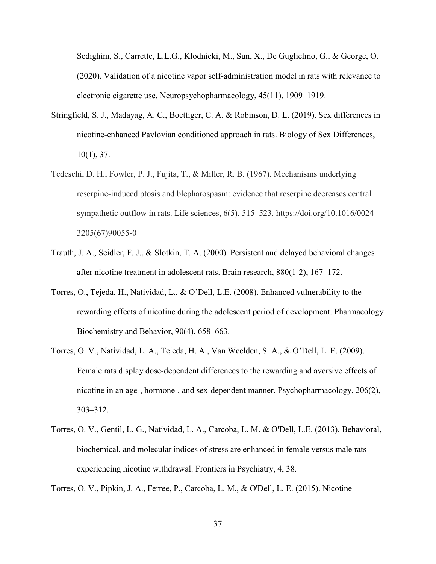Sedighim, S., Carrette, L.L.G., Klodnicki, M., Sun, X., De Guglielmo, G., & George, O. (2020). Validation of a nicotine vapor self-administration model in rats with relevance to electronic cigarette use. Neuropsychopharmacology, 45(11), 1909–1919.

- Stringfield, S. J., Madayag, A. C., Boettiger, C. A. & Robinson, D. L. (2019). Sex differences in nicotine-enhanced Pavlovian conditioned approach in rats. Biology of Sex Differences, 10(1), 37.
- Tedeschi, D. H., Fowler, P. J., Fujita, T., & Miller, R. B. (1967). Mechanisms underlying reserpine-induced ptosis and blepharospasm: evidence that reserpine decreases central sympathetic outflow in rats. Life sciences, 6(5), 515–523. https://doi.org/10.1016/0024- 3205(67)90055-0
- Trauth, J. A., Seidler, F. J., & Slotkin, T. A. (2000). Persistent and delayed behavioral changes after nicotine treatment in adolescent rats. Brain research, 880(1-2), 167–172.
- Torres, O., Tejeda, H., Natividad, L., & O'Dell, L.E. (2008). Enhanced vulnerability to the rewarding effects of nicotine during the adolescent period of development. Pharmacology Biochemistry and Behavior, 90(4), 658–663.
- Torres, O. V., Natividad, L. A., Tejeda, H. A., Van Weelden, S. A., & O'Dell, L. E. (2009). Female rats display dose-dependent differences to the rewarding and aversive effects of nicotine in an age-, hormone-, and sex-dependent manner. Psychopharmacology, 206(2), 303–312.
- Torres, O. V., Gentil, L. G., Natividad, L. A., Carcoba, L. M. & O'Dell, L.E. (2013). Behavioral, biochemical, and molecular indices of stress are enhanced in female versus male rats experiencing nicotine withdrawal. Frontiers in Psychiatry, 4, 38.

Torres, O. V., Pipkin, J. A., Ferree, P., Carcoba, L. M., & O'Dell, L. E. (2015). Nicotine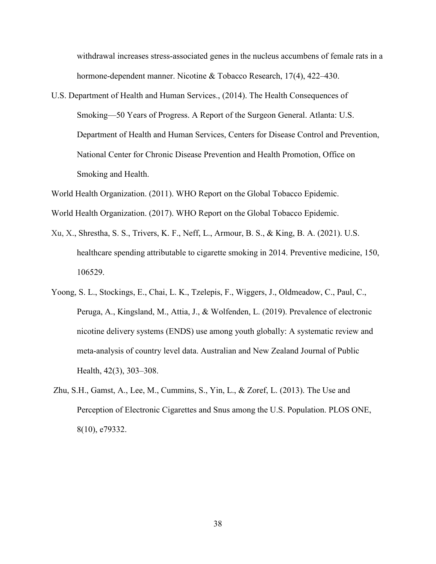withdrawal increases stress-associated genes in the nucleus accumbens of female rats in a hormone-dependent manner. Nicotine & Tobacco Research, 17(4), 422–430.

U.S. Department of Health and Human Services., (2014). The Health Consequences of Smoking—50 Years of Progress. A Report of the Surgeon General. Atlanta: U.S. Department of Health and Human Services, Centers for Disease Control and Prevention, National Center for Chronic Disease Prevention and Health Promotion, Office on Smoking and Health.

World Health Organization. (2011). WHO Report on the Global Tobacco Epidemic. World Health Organization. (2017). WHO Report on the Global Tobacco Epidemic.

- Xu, X., Shrestha, S. S., Trivers, K. F., Neff, L., Armour, B. S., & King, B. A. (2021). U.S. healthcare spending attributable to cigarette smoking in 2014. Preventive medicine, 150, 106529.
- Yoong, S. L., Stockings, E., Chai, L. K., Tzelepis, F., Wiggers, J., Oldmeadow, C., Paul, C., Peruga, A., Kingsland, M., Attia, J., & Wolfenden, L. (2019). Prevalence of electronic nicotine delivery systems (ENDS) use among youth globally: A systematic review and meta-analysis of country level data. Australian and New Zealand Journal of Public Health, 42(3), 303–308.
- Zhu, S.H., Gamst, A., Lee, M., Cummins, S., Yin, L., & Zoref, L. (2013). The Use and Perception of Electronic Cigarettes and Snus among the U.S. Population. PLOS ONE, 8(10), e79332.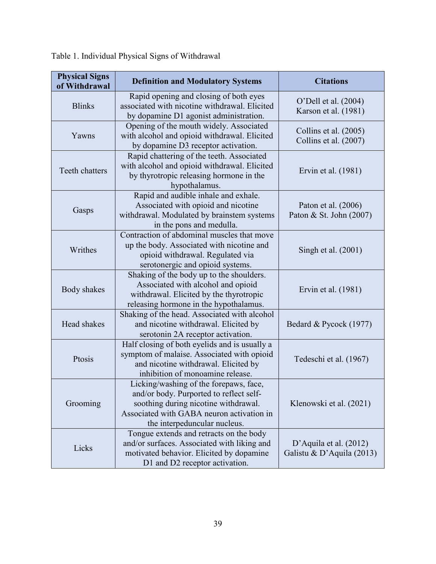| <b>Physical Signs</b><br>of Withdrawal | <b>Definition and Modulatory Systems</b>                                                                                                                                                               | <b>Citations</b>                                      |  |  |
|----------------------------------------|--------------------------------------------------------------------------------------------------------------------------------------------------------------------------------------------------------|-------------------------------------------------------|--|--|
| <b>Blinks</b>                          | Rapid opening and closing of both eyes<br>associated with nicotine withdrawal. Elicited<br>by dopamine D1 agonist administration.                                                                      | O'Dell et al. (2004)<br>Karson et al. (1981)          |  |  |
| Yawns                                  | Opening of the mouth widely. Associated<br>with alcohol and opioid withdrawal. Elicited<br>by dopamine D3 receptor activation.                                                                         | Collins et al. (2005)<br>Collins et al. (2007)        |  |  |
| Teeth chatters                         | Rapid chattering of the teeth. Associated<br>with alcohol and opioid withdrawal. Elicited<br>by thyrotropic releasing hormone in the<br>hypothalamus.                                                  | Ervin et al. (1981)                                   |  |  |
| Gasps                                  | Rapid and audible inhale and exhale.<br>Associated with opioid and nicotine<br>withdrawal. Modulated by brainstem systems<br>in the pons and medulla.                                                  | Paton et al. (2006)<br>Paton & St. John (2007)        |  |  |
| Writhes                                | Contraction of abdominal muscles that move<br>up the body. Associated with nicotine and<br>opioid withdrawal. Regulated via<br>serotonergic and opioid systems.                                        | Singh et al. (2001)                                   |  |  |
| Body shakes                            | Shaking of the body up to the shoulders.<br>Associated with alcohol and opioid<br>withdrawal. Elicited by the thyrotropic<br>releasing hormone in the hypothalamus.                                    | Ervin et al. (1981)                                   |  |  |
| Head shakes                            | Shaking of the head. Associated with alcohol<br>and nicotine withdrawal. Elicited by<br>serotonin 2A receptor activation.                                                                              | Bedard & Pycock (1977)                                |  |  |
| Ptosis                                 | Half closing of both eyelids and is usually a<br>symptom of malaise. Associated with opioid<br>and nicotine withdrawal. Elicited by<br>inhibition of monoamine release.                                | Tedeschi et al. (1967)                                |  |  |
| Grooming                               | Licking/washing of the forepaws, face,<br>and/or body. Purported to reflect self-<br>soothing during nicotine withdrawal.<br>Associated with GABA neuron activation in<br>the interpeduncular nucleus. | Klenowski et al. (2021)                               |  |  |
| Licks                                  | Tongue extends and retracts on the body<br>and/or surfaces. Associated with liking and<br>motivated behavior. Elicited by dopamine<br>D1 and D2 receptor activation.                                   | D'Aquila et al. $(2012)$<br>Galistu & D'Aquila (2013) |  |  |

| Table 1. Individual Physical Signs of Withdrawal |
|--------------------------------------------------|
|--------------------------------------------------|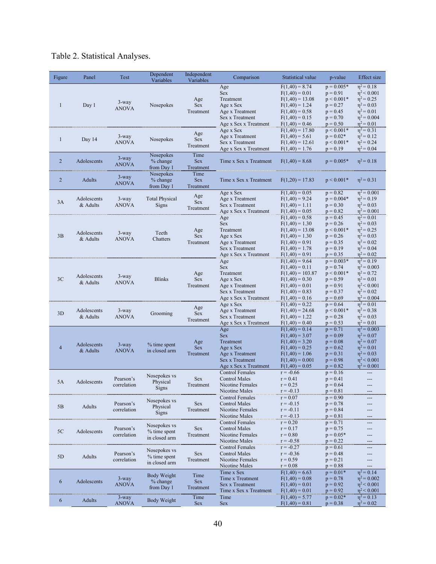# Table 2. Statistical Analyses.

| Figure         | Panel                   | Test                     | Dependent<br>Variables                         | Independent<br>Variables        | Comparison                                                                                                 | Statistical value                                                                                                                          | p-value                                                                                            | <b>Effect</b> size                                                                                                               |
|----------------|-------------------------|--------------------------|------------------------------------------------|---------------------------------|------------------------------------------------------------------------------------------------------------|--------------------------------------------------------------------------------------------------------------------------------------------|----------------------------------------------------------------------------------------------------|----------------------------------------------------------------------------------------------------------------------------------|
| $\mathbf{1}$   | Day 1                   | $3$ -way<br><b>ANOVA</b> | Nosepokes                                      | Age<br><b>Sex</b><br>Treatment  | Age<br><b>Sex</b><br>Treatment<br>Age x Sex<br>Age x Treatment<br>Sex x Treatment<br>Age x Sex x Treatment | $F(1,40) = 8.74$<br>$F(1,40) = 0.01$<br>$F(1,40) = 13.08$<br>$F(1,40) = 1.24$<br>$F(1,40) = 0.58$<br>$F(1,40) = 0.15$<br>$F(1,40) = 0.46$  | $p = 0.005*$<br>$p = 0.91$<br>$p < 0.001*$<br>$p = 0.27$<br>$p = 0.45$<br>$p = 0.70$<br>$p = 0.50$ | $\eta^2 = 0.18$<br>$\eta^2$ < 0.001<br>$\eta^2 = 0.25$<br>$\eta^2 = 0.03$<br>$\eta^2 = 0.01$<br>$\eta^2 = 0.004$<br>$n^2 = 0.01$ |
| $\mathbf{1}$   | Day 14                  | $3$ -way<br><b>ANOVA</b> | Nosepokes                                      | Age<br><b>Sex</b><br>Treatment  | Age x Sex<br>Age x Treatment<br>Sex x Treatment<br>Age x Sex x Treatment                                   | $F(1,40) = 17.80$<br>$F(1,40) = 5.61$<br>$F(1,40) = 12.61$<br>$F(1,40) = 1.76$                                                             | $p < 0.001*$<br>$p = 0.02*$<br>$p < 0.001*$<br>$p = 0.19$                                          | $n^2$ = 0.31<br>$n^2$ = 0.12<br>$\eta^2 = 0.24$<br>$\eta^2 = 0.04$                                                               |
| $\overline{2}$ | Adolescents             | $3$ -way<br><b>ANOVA</b> | Nosepokes<br>% change<br>from Day 1            | Time<br><b>Sex</b><br>Treatment | Time x Sex x Treatment                                                                                     | $F(1,40) = 8.68$                                                                                                                           | $p = 0.005*$                                                                                       | $\eta^2 = 0.18$                                                                                                                  |
| 2              | <b>Adults</b>           | $3$ -way<br><b>ANOVA</b> | Nosepokes<br>% change<br>from Day 1            | Time<br><b>Sex</b><br>Treatment | Time x Sex x Treatment                                                                                     | $F(1,20) = 17.83$                                                                                                                          | $p < 0.001*$                                                                                       | $\eta^2 = 0.31$                                                                                                                  |
| 3A             | Adolescents<br>& Adults | $3$ -way<br><b>ANOVA</b> | <b>Total Physical</b><br>Signs                 | Age<br><b>Sex</b><br>Treatment  | Age x Sex<br>Age x Treatment<br>Sex x Treatment<br>Age x Sex x Treatment                                   | $F(1,40) = 0.05$<br>$F(1,40) = 9.24$<br>$F(1,40) = 1.11$<br>$F(1,40) = 0.05$                                                               | $p = 0.82$<br>$p = 0.004*$<br>$p = 0.30$<br>$p = 0.82$                                             | $\eta^2 = 0.001$<br>$n^2$ = 0.19<br>$\eta^2 = 0.03$<br>$\eta^2 = 0.001$                                                          |
| 3B             | Adolescents<br>& Adults | $3$ -way<br><b>ANOVA</b> | Teeth<br>Chatters                              | Age<br><b>Sex</b><br>Treatment  | Age<br><b>Sex</b><br>Treatment<br>Age x Sex<br>Age x Treatment<br>Sex x Treatment<br>Age x Sex x Treatment | $F(1,40) = 0.58$<br>$F(1,40) = 1.30$<br>$F(1,40) = 13.08$<br>$F(1,40) = 1.30$<br>$F(1,40) = 0.91$<br>$F(1,40) = 1.78$<br>$F(1,40) = 0.91$  | $p = 0.45$<br>$p = 0.26$<br>$p < 0.001*$<br>$p = 0.26$<br>$p = 0.35$<br>$p = 0.19$<br>$p = 0.35$   | $\eta^2 = 0.01$<br>$\eta^2 = 0.03$<br>$n^2$ = 0.25<br>$\eta^2 = 0.03$<br>$\eta^2 = 0.02$<br>$\eta^2 = 0.04$<br>$\eta^2 = 0.02$   |
| 3C             | Adolescents<br>& Adults | $3$ -way<br><b>ANOVA</b> | <b>Blinks</b>                                  | Age<br><b>Sex</b><br>Treatment  | Age<br><b>Sex</b><br>Treatment<br>Age x Sex<br>Age x Treatment<br>Sex x Treatment<br>Age x Sex x Treatment | $F(1,40) = 9.64$<br>$F(1,40) = 0.11$<br>$F(1,40) = 103.87$<br>$F(1,40) = 0.30$<br>$F(1,40) = 0.01$<br>$F(1,40) = 0.83$<br>$F(1,40) = 0.16$ | $p = 0.003*$<br>$p = 0.74$<br>$p < 0.001*$<br>$p = 0.59$<br>$p = 0.91$<br>$p = 0.37$<br>$p = 0.69$ | $n^2 = 0.19$<br>$n^2$ = 0.003<br>$\eta^2 = 0.72$<br>$\eta^2 = 0.01$<br>$\eta^2$ < 0.001<br>$\eta^2 = 0.02$<br>$\eta^2 = 0.004$   |
| 3D             | Adolescents<br>& Adults | $3$ -way<br><b>ANOVA</b> | Grooming                                       | Age<br>Sex<br>Treatment         | Age x Sex<br>Age x Treatment<br>Sex x Treatment<br>Age x Sex x Treatment                                   | $F(1,40) = 0.22$<br>$F(1,40) = 24.68$<br>$F(1,40) = 1.22$<br>$F(1,40) = 0.40$                                                              | $p = 0.64$<br>$p < 0.001*$<br>$p = 0.28$<br>$p = 0.53$                                             | $\eta^2 = 0.01$<br>$\eta^2 = 0.38$<br>$\eta^2 = 0.03$<br>$\eta^2 = 0.01$                                                         |
| $\overline{4}$ | Adolescents<br>& Adults | $3$ -way<br><b>ANOVA</b> | % time spent<br>in closed arm                  | Age<br><b>Sex</b><br>Treatment  | Age<br><b>Sex</b><br>Treatment<br>Age x Sex<br>Age x Treatment<br>Sex x Treatment<br>Age x Sex x Treatment | $F(1,40) = 0.14$<br>$F(1,40) = 3.07$<br>$F(1,40) = 3.20$<br>$F(1,40) = 0.25$<br>$F(1,40) = 1.06$<br>$F(1,40) = 0.001$<br>$F(1,40) = 0.05$  | $p = 0.71$<br>$p = 0.09$<br>$p = 0.08$<br>$p = 0.62$<br>$p = 0.31$<br>$p = 0.98$<br>$p = 0.82$     | $n^2$ = 0.003<br>$n^2$ = 0.07<br>$\eta^2 = 0.07$<br>$\eta^2 = 0.01$<br>$n^2$ = 0.03<br>$\eta^2$ < 0.001<br>$\eta^2 = 0.001$      |
| 5A             | Adolescents             | Pearson's<br>correlation | Nosepokes vs<br>Physical<br>Signs              | <b>Sex</b><br>Treatment         | <b>Control Females</b><br><b>Control Males</b><br>Nicotine Females<br>Nicotine Males                       | $r = -0.66$<br>$r = 0.41$<br>$r = 0.25$<br>$r = -0.13$                                                                                     | $p = 0.16$<br>$p = 0.41$<br>$p = 0.64$<br>$p = 0.81$                                               | ---<br>$---$<br>---                                                                                                              |
| 5B             | Adults                  | Pearson's<br>correlation | Nosepokes vs<br>Physical<br>Signs              | Sex<br>Treatment                | <b>Control Females</b><br><b>Control Males</b><br>Nicotine Females<br>Nicotine Males                       | $r = 0.07$<br>$r = -0.15$<br>$r = -0.11$<br>$r = -0.13$                                                                                    | $p = 0.90$<br>$p = 0.78$<br>$p = 0.84$<br>$p = 0.81$                                               | ---                                                                                                                              |
| 5C             | Adolescents             | Pearson's<br>correlation | Nosepokes vs<br>% time spent<br>in closed arm  | <b>Sex</b><br>Treatment         | <b>Control Females</b><br><b>Control Males</b><br>Nicotine Females<br>Nicotine Males                       | $r = 0.20$<br>$r = 0.17$<br>$r = 0.80$<br>$r = -0.58$                                                                                      | $p = 0.71$<br>$p = 0.75$<br>$p = 0.05*$<br>$p = 0.22$                                              | ---                                                                                                                              |
| 5D             | Adults                  | Pearson's<br>correlation | Nosepokes vs<br>% time spent<br>in closed arm  | <b>Sex</b><br>Treatment         | <b>Control Females</b><br><b>Control Males</b><br>Nicotine Females<br>Nicotine Males                       | $r = -0.27$<br>$r = -0.36$<br>$r = 0.59$<br>$r = 0.08$                                                                                     | $p = 0.61$<br>$p = 0.48$<br>$p = 0.21$<br>$p = 0.88$                                               | ---<br>---<br>---                                                                                                                |
| 6              | Adolescents             | $3$ -way<br><b>ANOVA</b> | <b>Body Weight</b><br>$%$ change<br>from Day 1 | Time<br><b>Sex</b><br>Treatment | Time x Sex<br>Time x Treatment<br>Sex x Treatment<br>Time x Sex x Treatment                                | $F(1,40) = 6.63$<br>$F(1,40) = 0.08$<br>$F(1,40) = 0.01$<br>$F(1,40) = 0.01$                                                               | $p = 0.01*$<br>$p = 0.78$<br>$p = 0.92$<br>$p = 0.92$                                              | $n^2 = 0.14$<br>$\eta^2$ = 0.002<br>$\eta^2$ < 0.001<br>$\eta^2$ < 0.001                                                         |
| 6              | Adults                  | $3$ -way<br><b>ANOVA</b> | Body Weight                                    | Time<br>Sex                     | Time<br><b>Sex</b>                                                                                         | $F(1,40) = 5.77$<br>$F(1,40) = 0.81$                                                                                                       | $p = 0.02*$<br>$p = 0.38$                                                                          | $\eta^2 = 0.13$<br>$\eta^2 = 0.02$                                                                                               |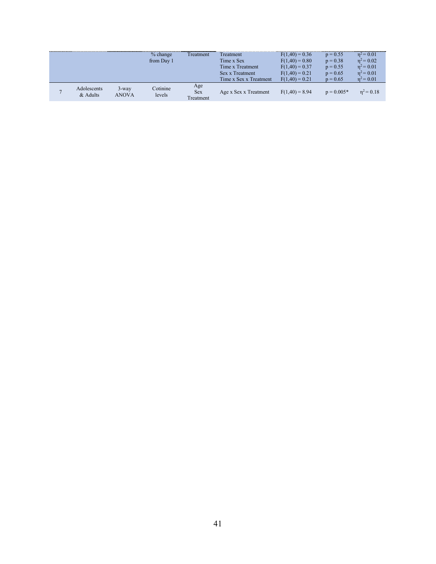|                |                           |                   | $%$ change<br>from Day 1 | Treatment                      | Treatment<br>Time x Sex<br>Time x Treatment<br>Sex x Treatment<br>Time x Sex x Treatment | $F(1,40) = 0.36$<br>$F(1,40) = 0.80$<br>$F(1,40) = 0.37$<br>$F(1,40) = 0.21$<br>$F(1.40) = 0.21$ | $p = 0.55$<br>$p = 0.38$<br>$p = 0.55$<br>$p = 0.65$<br>$p = 0.65$ | $n^2$ = 0.01<br>$n^2 = 0.02$<br>$n^2 = 0.01$<br>$n^2 = 0.01$<br>$n^2 = 0.01$ |
|----------------|---------------------------|-------------------|--------------------------|--------------------------------|------------------------------------------------------------------------------------------|--------------------------------------------------------------------------------------------------|--------------------------------------------------------------------|------------------------------------------------------------------------------|
| $\overline{ }$ | Adolescents<br>$&$ Adults | $3$ -way<br>ANOVA | Cotinine<br>levels       | Age<br><b>Sex</b><br>Treatment | Age x Sex x Treatment                                                                    | $F(1,40) = 8.94$                                                                                 | $p = 0.005*$                                                       | $n^2 = 0.18$                                                                 |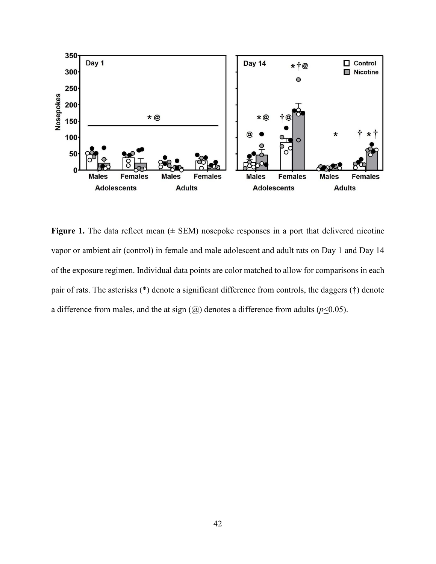

**Figure 1.** The data reflect mean  $(\pm$  SEM) nosepoke responses in a port that delivered nicotine vapor or ambient air (control) in female and male adolescent and adult rats on Day 1 and Day 14 of the exposure regimen. Individual data points are color matched to allow for comparisons in each pair of rats. The asterisks (\*) denote a significant difference from controls, the daggers (†) denote a difference from males, and the at sign  $(Q)$  denotes a difference from adults ( $p \le 0.05$ ).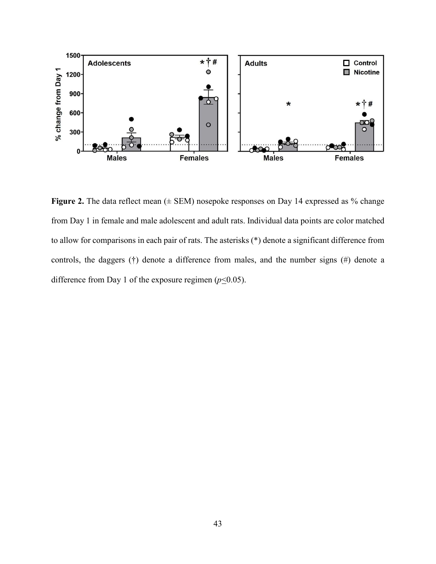

Figure 2. The data reflect mean ( $\pm$  SEM) nosepoke responses on Day 14 expressed as % change from Day 1 in female and male adolescent and adult rats. Individual data points are color matched to allow for comparisons in each pair of rats. The asterisks (\*) denote a significant difference from controls, the daggers (†) denote a difference from males, and the number signs (#) denote a difference from Day 1 of the exposure regimen ( $p \le 0.05$ ).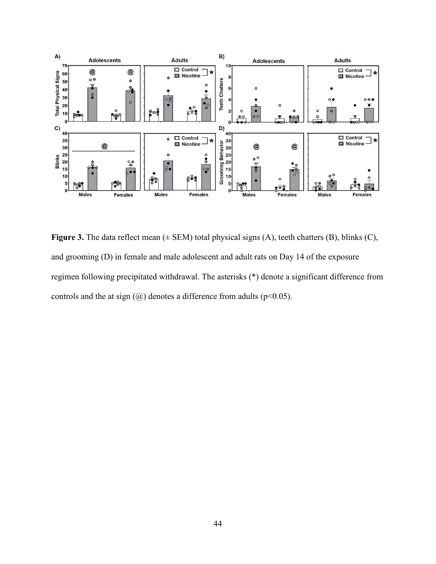

**Figure 3.** The data reflect mean ( $\pm$  SEM) total physical signs (A), teeth chatters (B), blinks (C), and grooming (D) in female and male adolescent and adult rats on Day 14 of the exposure regimen following precipitated withdrawal. The asterisks (\*) denote a significant difference from controls and the at sign  $(Q)$  denotes a difference from adults (p<0.05).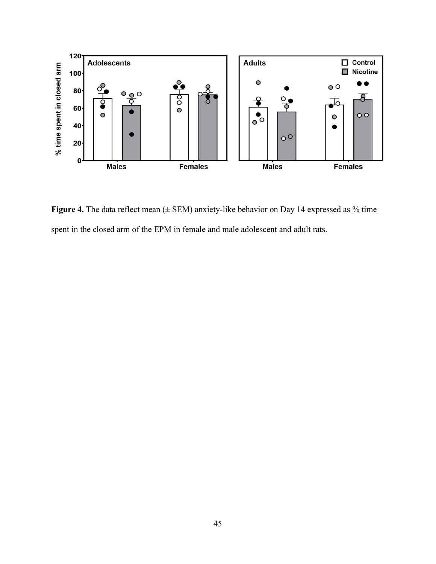

Figure 4. The data reflect mean ( $\pm$  SEM) anxiety-like behavior on Day 14 expressed as % time spent in the closed arm of the EPM in female and male adolescent and adult rats.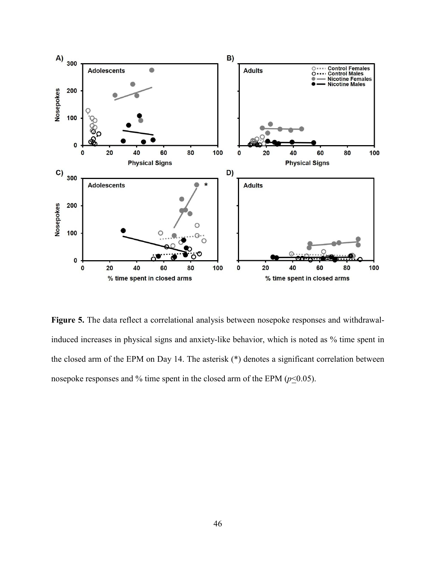

**Figure 5.** The data reflect a correlational analysis between nosepoke responses and withdrawalinduced increases in physical signs and anxiety-like behavior, which is noted as % time spent in the closed arm of the EPM on Day 14. The asterisk (\*) denotes a significant correlation between nosepoke responses and % time spent in the closed arm of the EPM  $(p \le 0.05)$ .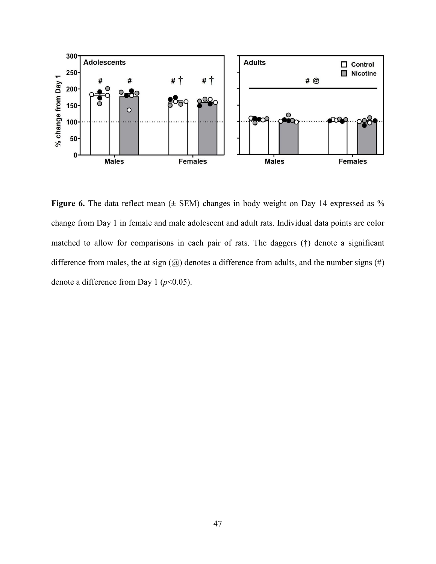

**Figure 6.** The data reflect mean  $(\pm$  SEM) changes in body weight on Day 14 expressed as % change from Day 1 in female and male adolescent and adult rats. Individual data points are color matched to allow for comparisons in each pair of rats. The daggers (†) denote a significant difference from males, the at sign  $(Q)$  denotes a difference from adults, and the number signs  $(\#)$ denote a difference from Day 1 ( $p \le 0.05$ ).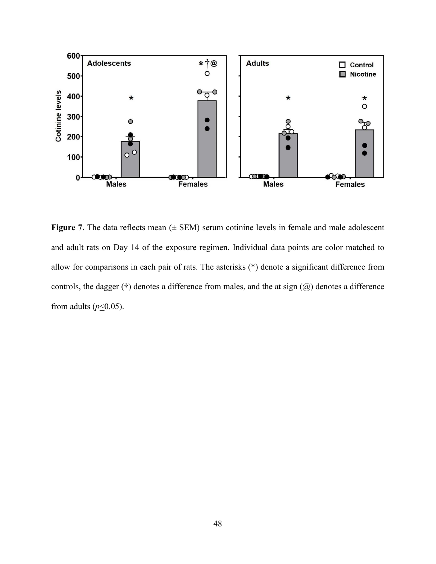

**Figure 7.** The data reflects mean  $(±$  SEM) serum cotinine levels in female and male adolescent and adult rats on Day 14 of the exposure regimen. Individual data points are color matched to allow for comparisons in each pair of rats. The asterisks (\*) denote a significant difference from controls, the dagger (†) denotes a difference from males, and the at sign  $(Q)$  denotes a difference from adults ( $p \le 0.05$ ).